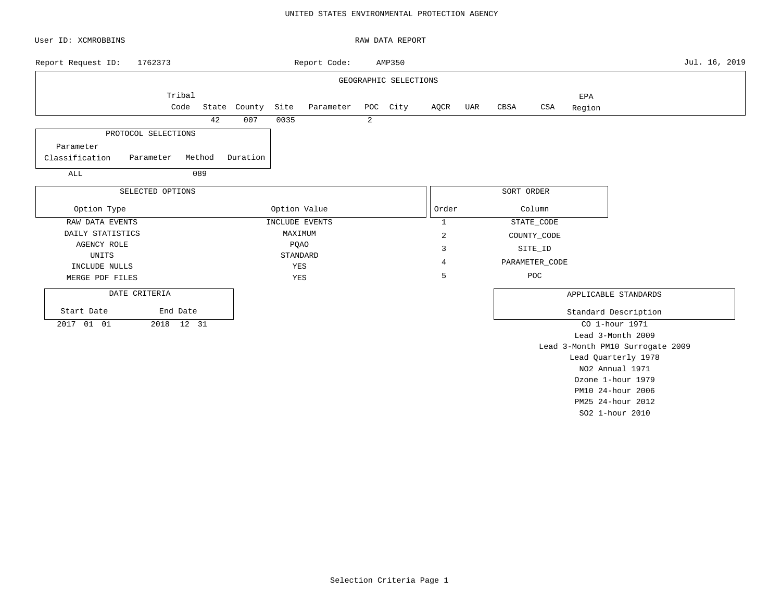## UNITED STATES ENVIRONMENTAL PROTECTION AGENCY

| User ID: XCMROBBINS |                     |        |              |              |                |   | RAW DATA REPORT       |                |     |            |                |               |                                  |               |
|---------------------|---------------------|--------|--------------|--------------|----------------|---|-----------------------|----------------|-----|------------|----------------|---------------|----------------------------------|---------------|
| Report Request ID:  | 1762373             |        |              |              | Report Code:   |   | AMP350                |                |     |            |                |               |                                  | Jul. 16, 2019 |
|                     |                     |        |              |              |                |   | GEOGRAPHIC SELECTIONS |                |     |            |                |               |                                  |               |
|                     | Tribal<br>Code      |        | State County | Site         | Parameter      |   | POC City              | AQCR           | UAR | CBSA       | $_{\tt CSA}$   | EPA<br>Region |                                  |               |
|                     |                     | 42     | 007          | 0035         |                | 2 |                       |                |     |            |                |               |                                  |               |
|                     | PROTOCOL SELECTIONS |        |              |              |                |   |                       |                |     |            |                |               |                                  |               |
| Parameter           |                     |        |              |              |                |   |                       |                |     |            |                |               |                                  |               |
| Classification      | Parameter           | Method | Duration     |              |                |   |                       |                |     |            |                |               |                                  |               |
| ALL                 |                     | 089    |              |              |                |   |                       |                |     |            |                |               |                                  |               |
|                     | SELECTED OPTIONS    |        |              |              |                |   |                       |                |     | SORT ORDER |                |               |                                  |               |
| Option Type         |                     |        |              | Option Value |                |   |                       | Order          |     |            | Column         |               |                                  |               |
| RAW DATA EVENTS     |                     |        |              |              | INCLUDE EVENTS |   |                       | $\mathbf{1}$   |     |            | STATE_CODE     |               |                                  |               |
| DAILY STATISTICS    |                     |        |              | MAXIMUM      |                |   |                       | $\overline{2}$ |     |            | COUNTY_CODE    |               |                                  |               |
| <b>AGENCY ROLE</b>  |                     |        |              | <b>PQAO</b>  |                |   |                       | 3              |     |            | SITE_ID        |               |                                  |               |
| UNITS               |                     |        |              |              | STANDARD       |   |                       | $\overline{4}$ |     |            | PARAMETER_CODE |               |                                  |               |
| INCLUDE NULLS       |                     |        |              | YES          |                |   |                       |                |     |            |                |               |                                  |               |
| MERGE PDF FILES     |                     |        |              | YES          |                |   |                       | 5              |     |            | POC            |               |                                  |               |
| DATE CRITERIA       |                     |        |              |              |                |   |                       |                |     |            |                |               | APPLICABLE STANDARDS             |               |
| Start Date          | End Date            |        |              |              |                |   |                       |                |     |            |                |               | Standard Description             |               |
| 2017 01 01          | 2018 12 31          |        |              |              |                |   |                       |                |     |            |                |               | CO 1-hour 1971                   |               |
|                     |                     |        |              |              |                |   |                       |                |     |            |                |               | Lead 3-Month 2009                |               |
|                     |                     |        |              |              |                |   |                       |                |     |            |                |               | Lead 3-Month PM10 Surrogate 2009 |               |
|                     |                     |        |              |              |                |   |                       |                |     |            |                |               | Lead Quarterly 1978              |               |
|                     |                     |        |              |              |                |   |                       |                |     |            |                |               | NO2 Annual 1971                  |               |
|                     |                     |        |              |              |                |   |                       |                |     |            |                |               | Ozone 1-hour 1979                |               |
|                     |                     |        |              |              |                |   |                       |                |     |            |                |               | PM10 24-hour 2006                |               |

PM25 24-hour 2012 SO2 1-hour 2010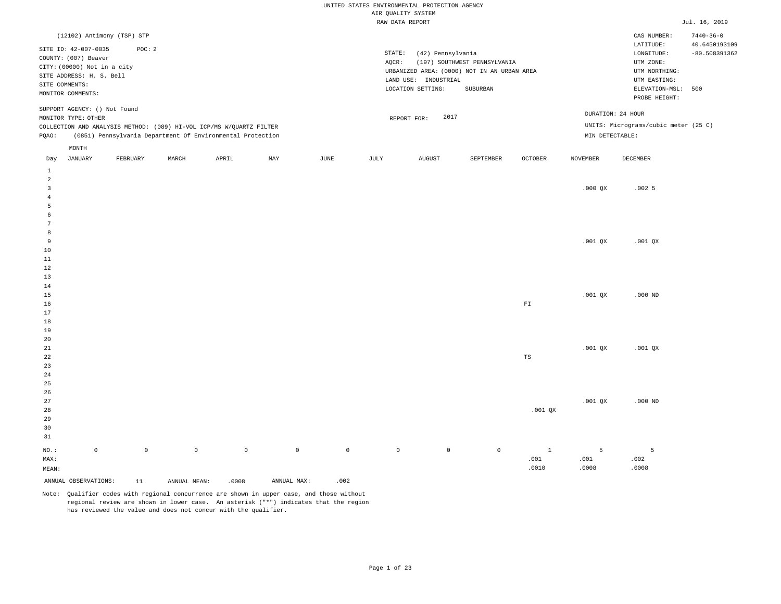|                   |                                                     |                     |              |                                                                     |             |                     | AIR QUALITY SYSTEM | UNITED STATES ENVIRONMENTAL PROTECTION AGENCY |                                             |                         |                 |                                      |                                  |
|-------------------|-----------------------------------------------------|---------------------|--------------|---------------------------------------------------------------------|-------------|---------------------|--------------------|-----------------------------------------------|---------------------------------------------|-------------------------|-----------------|--------------------------------------|----------------------------------|
|                   |                                                     |                     |              |                                                                     |             |                     | RAW DATA REPORT    |                                               |                                             |                         |                 |                                      | Jul. 16, 2019                    |
|                   | (12102) Antimony (TSP) STP                          |                     |              |                                                                     |             |                     |                    |                                               |                                             |                         |                 | CAS NUMBER:                          | $7440 - 36 - 0$                  |
|                   | SITE ID: 42-007-0035                                | POC: 2              |              |                                                                     |             |                     | STATE:             | (42) Pennsylvania                             |                                             |                         |                 | LATITUDE:<br>LONGITUDE:              | 40.6450193109<br>$-80.508391362$ |
|                   | COUNTY: (007) Beaver<br>CITY: (00000) Not in a city |                     |              |                                                                     |             |                     | AQCR:              |                                               | (197) SOUTHWEST PENNSYLVANIA                |                         |                 | UTM ZONE:                            |                                  |
|                   | SITE ADDRESS: H. S. Bell                            |                     |              |                                                                     |             |                     |                    |                                               | URBANIZED AREA: (0000) NOT IN AN URBAN AREA |                         |                 | UTM NORTHING:                        |                                  |
|                   | SITE COMMENTS:                                      |                     |              |                                                                     |             |                     |                    | LAND USE: INDUSTRIAL<br>LOCATION SETTING:     | ${\tt SUBURBAN}$                            |                         |                 | UTM EASTING:<br>ELEVATION-MSL:       | 500                              |
|                   | MONITOR COMMENTS:                                   |                     |              |                                                                     |             |                     |                    |                                               |                                             |                         |                 | PROBE HEIGHT:                        |                                  |
|                   | SUPPORT AGENCY: () Not Found<br>MONITOR TYPE: OTHER |                     |              |                                                                     |             |                     |                    | 2017<br>REPORT FOR:                           |                                             |                         |                 | DURATION: 24 HOUR                    |                                  |
|                   |                                                     |                     |              | COLLECTION AND ANALYSIS METHOD: (089) HI-VOL ICP/MS W/QUARTZ FILTER |             |                     |                    |                                               |                                             |                         |                 | UNITS: Micrograms/cubic meter (25 C) |                                  |
| PQAO:             |                                                     |                     |              | (0851) Pennsylvania Department Of Environmental Protection          |             |                     |                    |                                               |                                             |                         | MIN DETECTABLE: |                                      |                                  |
|                   | MONTH                                               |                     |              |                                                                     |             |                     |                    |                                               |                                             |                         |                 |                                      |                                  |
| Day               | JANUARY                                             | FEBRUARY            | MARCH        | APRIL                                                               | MAY         | JUNE                | JULY               | <b>AUGUST</b>                                 | SEPTEMBER                                   | <b>OCTOBER</b>          | <b>NOVEMBER</b> | DECEMBER                             |                                  |
| $\mathbf{1}$<br>2 |                                                     |                     |              |                                                                     |             |                     |                    |                                               |                                             |                         |                 |                                      |                                  |
| $\overline{3}$    |                                                     |                     |              |                                                                     |             |                     |                    |                                               |                                             |                         | $.000$ QX       | .0025                                |                                  |
| $\overline{4}$    |                                                     |                     |              |                                                                     |             |                     |                    |                                               |                                             |                         |                 |                                      |                                  |
| 5                 |                                                     |                     |              |                                                                     |             |                     |                    |                                               |                                             |                         |                 |                                      |                                  |
| 6                 |                                                     |                     |              |                                                                     |             |                     |                    |                                               |                                             |                         |                 |                                      |                                  |
| 7                 |                                                     |                     |              |                                                                     |             |                     |                    |                                               |                                             |                         |                 |                                      |                                  |
| 8<br>9            |                                                     |                     |              |                                                                     |             |                     |                    |                                               |                                             |                         |                 |                                      |                                  |
| 10                |                                                     |                     |              |                                                                     |             |                     |                    |                                               |                                             |                         | $.001$ QX       | $.001$ QX                            |                                  |
| 11                |                                                     |                     |              |                                                                     |             |                     |                    |                                               |                                             |                         |                 |                                      |                                  |
| 12                |                                                     |                     |              |                                                                     |             |                     |                    |                                               |                                             |                         |                 |                                      |                                  |
| 13                |                                                     |                     |              |                                                                     |             |                     |                    |                                               |                                             |                         |                 |                                      |                                  |
| 14                |                                                     |                     |              |                                                                     |             |                     |                    |                                               |                                             |                         |                 |                                      |                                  |
| 15                |                                                     |                     |              |                                                                     |             |                     |                    |                                               |                                             |                         | $.001$ QX       | $.000$ ND                            |                                  |
| 16<br>17          |                                                     |                     |              |                                                                     |             |                     |                    |                                               |                                             | ${\rm F}\, {\mathbb I}$ |                 |                                      |                                  |
| 18                |                                                     |                     |              |                                                                     |             |                     |                    |                                               |                                             |                         |                 |                                      |                                  |
| 19                |                                                     |                     |              |                                                                     |             |                     |                    |                                               |                                             |                         |                 |                                      |                                  |
| 20                |                                                     |                     |              |                                                                     |             |                     |                    |                                               |                                             |                         |                 |                                      |                                  |
| 21                |                                                     |                     |              |                                                                     |             |                     |                    |                                               |                                             |                         | $.001$ QX       | $.001$ QX                            |                                  |
| 22                |                                                     |                     |              |                                                                     |             |                     |                    |                                               |                                             | TS                      |                 |                                      |                                  |
| 23                |                                                     |                     |              |                                                                     |             |                     |                    |                                               |                                             |                         |                 |                                      |                                  |
| 24<br>25          |                                                     |                     |              |                                                                     |             |                     |                    |                                               |                                             |                         |                 |                                      |                                  |
| 26                |                                                     |                     |              |                                                                     |             |                     |                    |                                               |                                             |                         |                 |                                      |                                  |
| 27                |                                                     |                     |              |                                                                     |             |                     |                    |                                               |                                             |                         | $.001$ QX       | $.000$ ND                            |                                  |
| 28                |                                                     |                     |              |                                                                     |             |                     |                    |                                               |                                             | $.001$ QX               |                 |                                      |                                  |
| 29                |                                                     |                     |              |                                                                     |             |                     |                    |                                               |                                             |                         |                 |                                      |                                  |
| 30                |                                                     |                     |              |                                                                     |             |                     |                    |                                               |                                             |                         |                 |                                      |                                  |
| 31                |                                                     |                     |              |                                                                     |             |                     |                    |                                               |                                             |                         |                 |                                      |                                  |
| NO.:              | $\mathbb O$                                         | $\mathsf{O}\xspace$ | $\circ$      | $\mathbb O$                                                         | $\mathbb O$ | $\mathsf{O}\xspace$ | $\mathbb O$        | $\mathbb O$                                   | $\mathbb O$                                 | $\mathbf{1}$            | 5               | 5                                    |                                  |
| MAX:              |                                                     |                     |              |                                                                     |             |                     |                    |                                               |                                             | .001                    | .001            | .002                                 |                                  |
| MEAN:             |                                                     |                     |              |                                                                     |             |                     |                    |                                               |                                             | .0010                   | .0008           | .0008                                |                                  |
|                   | ANNUAL OBSERVATIONS:                                | 11                  | ANNUAL MEAN: | .0008                                                               | ANNUAL MAX: | .002                |                    |                                               |                                             |                         |                 |                                      |                                  |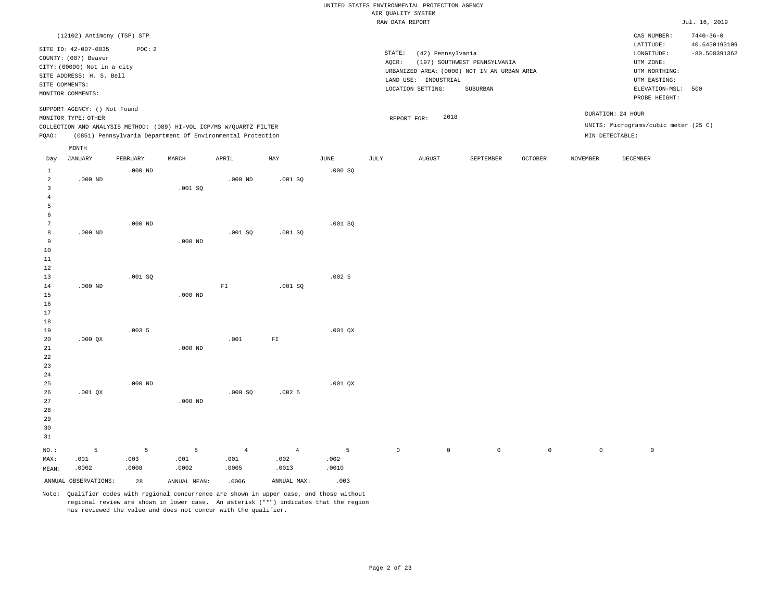|                                                |                                                                                 |                    |                    |                                                                                                                                   |                    |                    |                                       | UNITED STATES ENVIRONMENTAL PROTECTION AGENCY |                                                                             |             |                 |                                                         |                                  |
|------------------------------------------------|---------------------------------------------------------------------------------|--------------------|--------------------|-----------------------------------------------------------------------------------------------------------------------------------|--------------------|--------------------|---------------------------------------|-----------------------------------------------|-----------------------------------------------------------------------------|-------------|-----------------|---------------------------------------------------------|----------------------------------|
|                                                |                                                                                 |                    |                    |                                                                                                                                   |                    |                    | AIR QUALITY SYSTEM<br>RAW DATA REPORT |                                               |                                                                             |             |                 |                                                         | Jul. 16, 2019                    |
|                                                |                                                                                 |                    |                    |                                                                                                                                   |                    |                    |                                       |                                               |                                                                             |             |                 |                                                         |                                  |
|                                                | (12102) Antimony (TSP) STP<br>SITE ID: 42-007-0035                              | POC: 2             |                    |                                                                                                                                   |                    |                    |                                       |                                               |                                                                             |             |                 | CAS NUMBER:<br>LATITUDE:                                | $7440 - 36 - 0$<br>40.6450193109 |
|                                                | COUNTY: (007) Beaver<br>CITY: (00000) Not in a city<br>SITE ADDRESS: H. S. Bell |                    |                    |                                                                                                                                   |                    |                    | STATE:<br>AOCR:                       | (42) Pennsylvania                             | (197) SOUTHWEST PENNSYLVANIA<br>URBANIZED AREA: (0000) NOT IN AN URBAN AREA |             |                 | LONGITUDE:<br>UTM ZONE:<br>UTM NORTHING:                | $-80.508391362$                  |
| SITE COMMENTS:                                 | MONITOR COMMENTS:                                                               |                    |                    |                                                                                                                                   |                    |                    |                                       | LAND USE: INDUSTRIAL<br>LOCATION SETTING:     | SUBURBAN                                                                    |             |                 | UTM EASTING:<br>ELEVATION-MSL: 500<br>PROBE HEIGHT:     |                                  |
|                                                | SUPPORT AGENCY: () Not Found<br>MONITOR TYPE: OTHER                             |                    |                    |                                                                                                                                   |                    |                    | REPORT FOR:                           | 2018                                          |                                                                             |             |                 | DURATION: 24 HOUR                                       |                                  |
| PQAO:                                          |                                                                                 |                    |                    | COLLECTION AND ANALYSIS METHOD: (089) HI-VOL ICP/MS W/QUARTZ FILTER<br>(0851) Pennsylvania Department Of Environmental Protection |                    |                    |                                       |                                               |                                                                             |             |                 | UNITS: Micrograms/cubic meter (25 C)<br>MIN DETECTABLE: |                                  |
| Day                                            | MONTH<br>JANUARY                                                                | FEBRUARY           | MARCH              | APRIL                                                                                                                             | MAX                | $_{\rm JUNE}$      | JULY                                  | AUGUST                                        | SEPTEMBER                                                                   | OCTOBER     | <b>NOVEMBER</b> | DECEMBER                                                |                                  |
| $\mathbf{1}$                                   |                                                                                 | $.000$ ND          |                    |                                                                                                                                   |                    | .000SQ             |                                       |                                               |                                                                             |             |                 |                                                         |                                  |
| $\overline{a}$<br>$\overline{3}$<br>$\sqrt{4}$ | $.000$ ND                                                                       |                    | .001 SQ            | $.000$ ND                                                                                                                         | .001SQ             |                    |                                       |                                               |                                                                             |             |                 |                                                         |                                  |
| $\overline{5}$<br>6                            |                                                                                 |                    |                    |                                                                                                                                   |                    |                    |                                       |                                               |                                                                             |             |                 |                                                         |                                  |
| $7\phantom{.0}$<br>8<br>9                      | $.000$ ND                                                                       | $.000$ ND          | $.000$ ND          | .001SQ                                                                                                                            | .001SQ             | .001SQ             |                                       |                                               |                                                                             |             |                 |                                                         |                                  |
| 10<br>$11\,$                                   |                                                                                 |                    |                    |                                                                                                                                   |                    |                    |                                       |                                               |                                                                             |             |                 |                                                         |                                  |
| 12<br>13                                       |                                                                                 | .001SQ             |                    |                                                                                                                                   |                    | .0025              |                                       |                                               |                                                                             |             |                 |                                                         |                                  |
| 14<br>15<br>16                                 | $.000$ ND                                                                       |                    | $.000$ ND          | ${\rm F}\, {\mathbb I}$                                                                                                           | .001SQ             |                    |                                       |                                               |                                                                             |             |                 |                                                         |                                  |
| 17<br>$18$                                     |                                                                                 | .0035              |                    |                                                                                                                                   |                    |                    |                                       |                                               |                                                                             |             |                 |                                                         |                                  |
| 19<br>20<br>$2\sqrt{1}$                        | $.000$ $OX$                                                                     |                    | $.000$ ND          | .001                                                                                                                              | FI                 | $.001$ QX          |                                       |                                               |                                                                             |             |                 |                                                         |                                  |
| 22<br>23<br>24                                 |                                                                                 |                    |                    |                                                                                                                                   |                    |                    |                                       |                                               |                                                                             |             |                 |                                                         |                                  |
| 25<br>26                                       | $.001$ QX                                                                       | $.000$ ND          |                    | .000SQ                                                                                                                            | .0025              | $.001$ QX          |                                       |                                               |                                                                             |             |                 |                                                         |                                  |
| 27<br>28<br>29<br>30<br>31                     |                                                                                 |                    | $.000$ ND          |                                                                                                                                   |                    |                    |                                       |                                               |                                                                             |             |                 |                                                         |                                  |
| NO.:<br>MAX:<br>MEAN:                          | 5<br>.001<br>.0002                                                              | 5<br>.003<br>.0008 | 5<br>.001<br>.0002 | $\overline{4}$<br>.001<br>.0005                                                                                                   | 4<br>.002<br>.0013 | 5<br>.002<br>.0010 | $\mathsf{O}\xspace$                   | $\mathbb O$                                   | $\mathbb O$                                                                 | $\mathbb O$ | $\mathbb O$     | $\mathbb O$                                             |                                  |
|                                                | ANNUAL OBSERVATIONS:                                                            | 28                 | ANNUAL MEAN:       | .0006                                                                                                                             | ANNUAL MAX:        | .003               |                                       |                                               |                                                                             |             |                 |                                                         |                                  |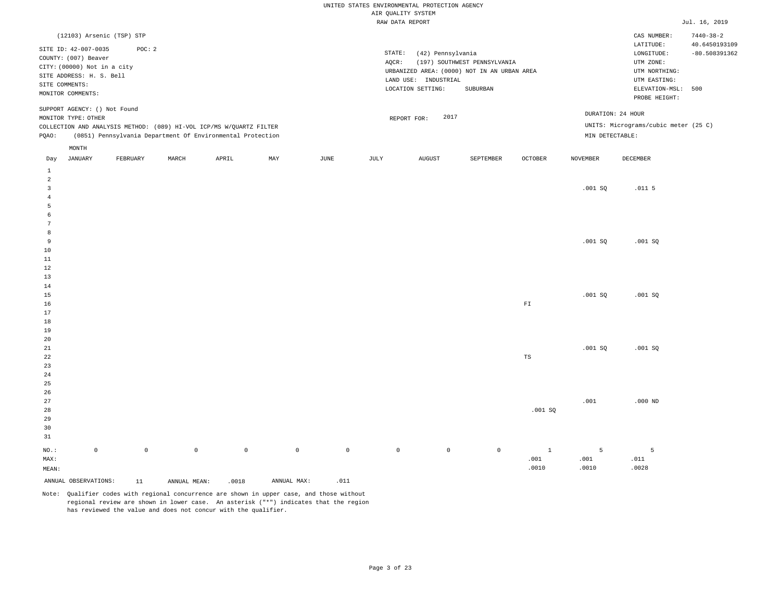|                     |                                                                                                                                                |                     |              |                                                                     |             |                     | AIR QUALITY SYSTEM | UNITED STATES ENVIRONMENTAL PROTECTION AGENCY                  |                                                                                                 |                |                 |                                                                                             |                                  |
|---------------------|------------------------------------------------------------------------------------------------------------------------------------------------|---------------------|--------------|---------------------------------------------------------------------|-------------|---------------------|--------------------|----------------------------------------------------------------|-------------------------------------------------------------------------------------------------|----------------|-----------------|---------------------------------------------------------------------------------------------|----------------------------------|
|                     |                                                                                                                                                |                     |              |                                                                     |             |                     | RAW DATA REPORT    |                                                                |                                                                                                 |                |                 |                                                                                             | Jul. 16, 2019                    |
|                     | (12103) Arsenic (TSP) STP                                                                                                                      |                     |              |                                                                     |             |                     |                    |                                                                |                                                                                                 |                |                 | CAS NUMBER:                                                                                 | $7440 - 38 - 2$                  |
|                     | SITE ID: 42-007-0035<br>COUNTY: (007) Beaver<br>CITY: (00000) Not in a city<br>SITE ADDRESS: H. S. Bell<br>SITE COMMENTS:<br>MONITOR COMMENTS: | POC: 2              |              |                                                                     |             |                     | STATE:<br>AQCR:    | (42) Pennsylvania<br>LAND USE: INDUSTRIAL<br>LOCATION SETTING: | (197) SOUTHWEST PENNSYLVANIA<br>URBANIZED AREA: (0000) NOT IN AN URBAN AREA<br>${\tt SUBURBAN}$ |                |                 | LATITUDE:<br>LONGITUDE:<br>UTM ZONE:<br>UTM NORTHING:<br>UTM EASTING:<br>ELEVATION-MSL: 500 | 40.6450193109<br>$-80.508391362$ |
|                     | SUPPORT AGENCY: () Not Found                                                                                                                   |                     |              |                                                                     |             |                     |                    |                                                                |                                                                                                 |                |                 | PROBE HEIGHT:                                                                               |                                  |
|                     | MONITOR TYPE: OTHER                                                                                                                            |                     |              |                                                                     |             |                     |                    | 2017<br>REPORT FOR:                                            |                                                                                                 |                |                 | DURATION: 24 HOUR                                                                           |                                  |
|                     |                                                                                                                                                |                     |              | COLLECTION AND ANALYSIS METHOD: (089) HI-VOL ICP/MS W/QUARTZ FILTER |             |                     |                    |                                                                |                                                                                                 |                |                 | UNITS: Micrograms/cubic meter (25 C)                                                        |                                  |
| PQAO:               |                                                                                                                                                |                     |              | (0851) Pennsylvania Department Of Environmental Protection          |             |                     |                    |                                                                |                                                                                                 |                | MIN DETECTABLE: |                                                                                             |                                  |
| Day                 | MONTH<br>JANUARY                                                                                                                               | FEBRUARY            | MARCH        | APRIL                                                               | MAY         | JUNE                | JULY               | <b>AUGUST</b>                                                  | SEPTEMBER                                                                                       | <b>OCTOBER</b> | <b>NOVEMBER</b> | DECEMBER                                                                                    |                                  |
| $\,1\,$             |                                                                                                                                                |                     |              |                                                                     |             |                     |                    |                                                                |                                                                                                 |                |                 |                                                                                             |                                  |
| 2<br>$\overline{3}$ |                                                                                                                                                |                     |              |                                                                     |             |                     |                    |                                                                |                                                                                                 |                | .001SQ          | .011 <sub>5</sub>                                                                           |                                  |
| $\overline{4}$      |                                                                                                                                                |                     |              |                                                                     |             |                     |                    |                                                                |                                                                                                 |                |                 |                                                                                             |                                  |
| 5<br>6              |                                                                                                                                                |                     |              |                                                                     |             |                     |                    |                                                                |                                                                                                 |                |                 |                                                                                             |                                  |
| 7                   |                                                                                                                                                |                     |              |                                                                     |             |                     |                    |                                                                |                                                                                                 |                |                 |                                                                                             |                                  |
| 8                   |                                                                                                                                                |                     |              |                                                                     |             |                     |                    |                                                                |                                                                                                 |                |                 |                                                                                             |                                  |
| 9                   |                                                                                                                                                |                     |              |                                                                     |             |                     |                    |                                                                |                                                                                                 |                | .001SQ          | .001SQ                                                                                      |                                  |
| 10<br>11            |                                                                                                                                                |                     |              |                                                                     |             |                     |                    |                                                                |                                                                                                 |                |                 |                                                                                             |                                  |
| 12                  |                                                                                                                                                |                     |              |                                                                     |             |                     |                    |                                                                |                                                                                                 |                |                 |                                                                                             |                                  |
| 13                  |                                                                                                                                                |                     |              |                                                                     |             |                     |                    |                                                                |                                                                                                 |                |                 |                                                                                             |                                  |
| 14                  |                                                                                                                                                |                     |              |                                                                     |             |                     |                    |                                                                |                                                                                                 |                |                 |                                                                                             |                                  |
| 15                  |                                                                                                                                                |                     |              |                                                                     |             |                     |                    |                                                                |                                                                                                 |                | .001SQ          | .001SQ                                                                                      |                                  |
| 16<br>17            |                                                                                                                                                |                     |              |                                                                     |             |                     |                    |                                                                |                                                                                                 | ${\rm FT}$     |                 |                                                                                             |                                  |
| 18                  |                                                                                                                                                |                     |              |                                                                     |             |                     |                    |                                                                |                                                                                                 |                |                 |                                                                                             |                                  |
| 19                  |                                                                                                                                                |                     |              |                                                                     |             |                     |                    |                                                                |                                                                                                 |                |                 |                                                                                             |                                  |
| 20                  |                                                                                                                                                |                     |              |                                                                     |             |                     |                    |                                                                |                                                                                                 |                |                 |                                                                                             |                                  |
| 21<br>22            |                                                                                                                                                |                     |              |                                                                     |             |                     |                    |                                                                |                                                                                                 | TS             | .001SQ          | .001SQ                                                                                      |                                  |
| 23                  |                                                                                                                                                |                     |              |                                                                     |             |                     |                    |                                                                |                                                                                                 |                |                 |                                                                                             |                                  |
| 24                  |                                                                                                                                                |                     |              |                                                                     |             |                     |                    |                                                                |                                                                                                 |                |                 |                                                                                             |                                  |
| 25                  |                                                                                                                                                |                     |              |                                                                     |             |                     |                    |                                                                |                                                                                                 |                |                 |                                                                                             |                                  |
| 26                  |                                                                                                                                                |                     |              |                                                                     |             |                     |                    |                                                                |                                                                                                 |                |                 |                                                                                             |                                  |
| 27                  |                                                                                                                                                |                     |              |                                                                     |             |                     |                    |                                                                |                                                                                                 |                | .001            | $.000$ ND                                                                                   |                                  |
| 28<br>29            |                                                                                                                                                |                     |              |                                                                     |             |                     |                    |                                                                |                                                                                                 | .001 SQ        |                 |                                                                                             |                                  |
| 30                  |                                                                                                                                                |                     |              |                                                                     |             |                     |                    |                                                                |                                                                                                 |                |                 |                                                                                             |                                  |
| 31                  |                                                                                                                                                |                     |              |                                                                     |             |                     |                    |                                                                |                                                                                                 |                |                 |                                                                                             |                                  |
| NO.:                | $\mathbb O$                                                                                                                                    | $\mathsf{O}\xspace$ | $\circ$      | $\mathbb O$                                                         | $\mathbb O$ | $\mathsf{O}\xspace$ | $\mathbb O$        | $\mathbb O$                                                    | $\mathbb O$                                                                                     | $\mathbf{1}$   | 5               | 5                                                                                           |                                  |
| MAX:                |                                                                                                                                                |                     |              |                                                                     |             |                     |                    |                                                                |                                                                                                 | .001           | .001            | .011                                                                                        |                                  |
| MEAN:               |                                                                                                                                                |                     |              |                                                                     |             |                     |                    |                                                                |                                                                                                 | .0010          | .0010           | .0028                                                                                       |                                  |
|                     | ANNUAL OBSERVATIONS:                                                                                                                           | 11                  | ANNUAL MEAN: | .0018                                                               | ANNUAL MAX: | .011                |                    |                                                                |                                                                                                 |                |                 |                                                                                             |                                  |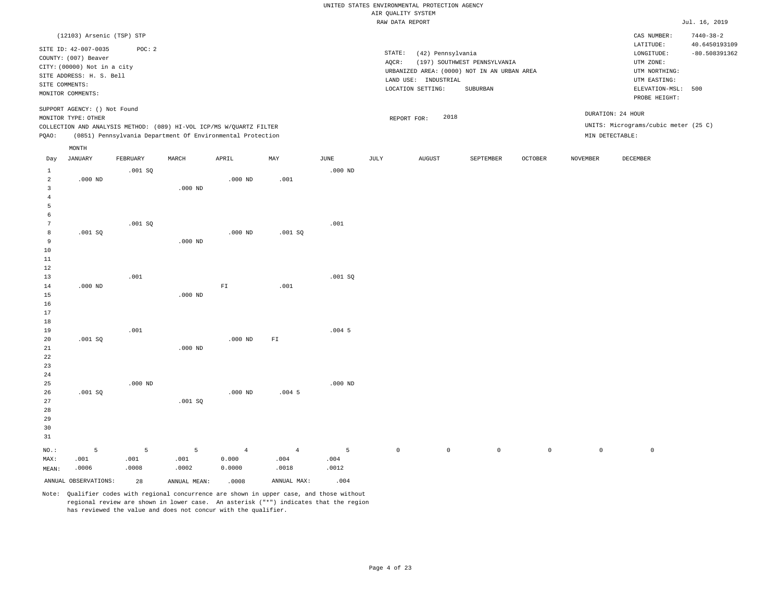|                                           |                                                                                                |                    |                                                                                                                                   |                                   |                                 |                    |                     | UNITED STATES ENVIRONMENTAL PROTECTION AGENCY |                                                                                         |                |                 |                                                                  |                                                     |
|-------------------------------------------|------------------------------------------------------------------------------------------------|--------------------|-----------------------------------------------------------------------------------------------------------------------------------|-----------------------------------|---------------------------------|--------------------|---------------------|-----------------------------------------------|-----------------------------------------------------------------------------------------|----------------|-----------------|------------------------------------------------------------------|-----------------------------------------------------|
|                                           |                                                                                                |                    |                                                                                                                                   |                                   |                                 |                    | AIR QUALITY SYSTEM  |                                               |                                                                                         |                |                 |                                                                  |                                                     |
|                                           |                                                                                                |                    |                                                                                                                                   |                                   |                                 |                    | RAW DATA REPORT     |                                               |                                                                                         |                |                 |                                                                  | Jul. 16, 2019                                       |
|                                           | (12103) Arsenic (TSP) STP<br>SITE ID: 42-007-0035<br>COUNTY: (007) Beaver                      | POC: 2             |                                                                                                                                   |                                   |                                 |                    | STATE:              | (42) Pennsylvania                             |                                                                                         |                |                 | CAS NUMBER:<br>LATITUDE:<br>LONGITUDE:                           | $7440 - 38 - 2$<br>40.6450193109<br>$-80.508391362$ |
|                                           | CITY: (00000) Not in a city<br>SITE ADDRESS: H. S. Bell<br>SITE COMMENTS:<br>MONITOR COMMENTS: |                    |                                                                                                                                   |                                   |                                 |                    | AQCR:               | LAND USE: INDUSTRIAL<br>LOCATION SETTING:     | (197) SOUTHWEST PENNSYLVANIA<br>URBANIZED AREA: (0000) NOT IN AN URBAN AREA<br>SUBURBAN |                |                 | UTM ZONE:<br>UTM NORTHING:<br>UTM EASTING:<br>ELEVATION-MSL: 500 |                                                     |
|                                           | SUPPORT AGENCY: () Not Found                                                                   |                    |                                                                                                                                   |                                   |                                 |                    |                     |                                               |                                                                                         |                |                 | PROBE HEIGHT:                                                    |                                                     |
|                                           | MONITOR TYPE: OTHER                                                                            |                    |                                                                                                                                   |                                   |                                 |                    |                     | 2018<br>REPORT FOR:                           |                                                                                         |                |                 | DURATION: 24 HOUR                                                |                                                     |
| PQAO:                                     |                                                                                                |                    | COLLECTION AND ANALYSIS METHOD: (089) HI-VOL ICP/MS W/QUARTZ FILTER<br>(0851) Pennsylvania Department Of Environmental Protection |                                   |                                 |                    |                     |                                               |                                                                                         |                | MIN DETECTABLE: | UNITS: Micrograms/cubic meter (25 C)                             |                                                     |
|                                           | MONTH                                                                                          |                    |                                                                                                                                   |                                   |                                 |                    |                     |                                               |                                                                                         |                |                 |                                                                  |                                                     |
| Day                                       | <b>JANUARY</b>                                                                                 | FEBRUARY           | MARCH                                                                                                                             | APRIL                             | MAY                             | <b>JUNE</b>        | <b>JULY</b>         | <b>AUGUST</b>                                 | SEPTEMBER                                                                               | <b>OCTOBER</b> | <b>NOVEMBER</b> | DECEMBER                                                         |                                                     |
| $\mathbf{1}$<br>$\overline{2}$            | $.000$ ND                                                                                      | .001 SQ            |                                                                                                                                   | $.000$ ND                         | .001                            | $.000$ ND          |                     |                                               |                                                                                         |                |                 |                                                                  |                                                     |
| $\overline{\mathbf{3}}$<br>$\overline{4}$ |                                                                                                |                    | $.000$ ND                                                                                                                         |                                   |                                 |                    |                     |                                               |                                                                                         |                |                 |                                                                  |                                                     |
| $\overline{5}$<br>6                       |                                                                                                |                    |                                                                                                                                   |                                   |                                 |                    |                     |                                               |                                                                                         |                |                 |                                                                  |                                                     |
| $7\phantom{.0}$<br>8                      | .001SQ                                                                                         | .001SQ             |                                                                                                                                   | $.000$ ND                         | .001 SQ                         | .001               |                     |                                               |                                                                                         |                |                 |                                                                  |                                                     |
| 9<br>$10$                                 |                                                                                                |                    | $.000$ ND                                                                                                                         |                                   |                                 |                    |                     |                                               |                                                                                         |                |                 |                                                                  |                                                     |
| $1\,1$<br>$1\,2$                          |                                                                                                |                    |                                                                                                                                   |                                   |                                 |                    |                     |                                               |                                                                                         |                |                 |                                                                  |                                                     |
| 13<br>14                                  | $.000$ ND                                                                                      | .001               |                                                                                                                                   | ${\rm FT}$                        | .001                            | .001SQ             |                     |                                               |                                                                                         |                |                 |                                                                  |                                                     |
| 15<br>16<br>17                            |                                                                                                |                    | $.000$ ND                                                                                                                         |                                   |                                 |                    |                     |                                               |                                                                                         |                |                 |                                                                  |                                                     |
| 18<br>19                                  |                                                                                                | .001               |                                                                                                                                   |                                   |                                 | .004 <sub>5</sub>  |                     |                                               |                                                                                         |                |                 |                                                                  |                                                     |
| 20<br>21                                  | .001SQ                                                                                         |                    | $.000$ ND                                                                                                                         | $.000$ ND                         | ${\rm F\,I}$                    |                    |                     |                                               |                                                                                         |                |                 |                                                                  |                                                     |
| 22<br>23<br>24                            |                                                                                                |                    |                                                                                                                                   |                                   |                                 |                    |                     |                                               |                                                                                         |                |                 |                                                                  |                                                     |
| 25<br>26                                  | .001SQ                                                                                         | $.000$ ND          |                                                                                                                                   | $.000$ ND                         | $.004$ 5                        | $.000$ ND          |                     |                                               |                                                                                         |                |                 |                                                                  |                                                     |
| 27<br>28<br>29<br>30<br>$3\,1$            |                                                                                                |                    | .001SQ                                                                                                                            |                                   |                                 |                    |                     |                                               |                                                                                         |                |                 |                                                                  |                                                     |
| NO.:<br>MAX:<br>MEAN:                     | 5<br>.001<br>.0006                                                                             | 5<br>.001<br>.0008 | 5<br>.001<br>.0002                                                                                                                | $\overline{4}$<br>0.000<br>0.0000 | $\overline{4}$<br>.004<br>.0018 | 5<br>.004<br>.0012 | $\mathsf{O}\xspace$ | $\mathbb O$                                   | $\mathsf 0$                                                                             | $\mathsf{O}$   | $\mathbf 0$     | $\mathsf 0$                                                      |                                                     |
|                                           | ANNUAL OBSERVATIONS:                                                                           | 28                 | ANNUAL MEAN:                                                                                                                      | .0008                             | ANNUAL MAX:                     | .004               |                     |                                               |                                                                                         |                |                 |                                                                  |                                                     |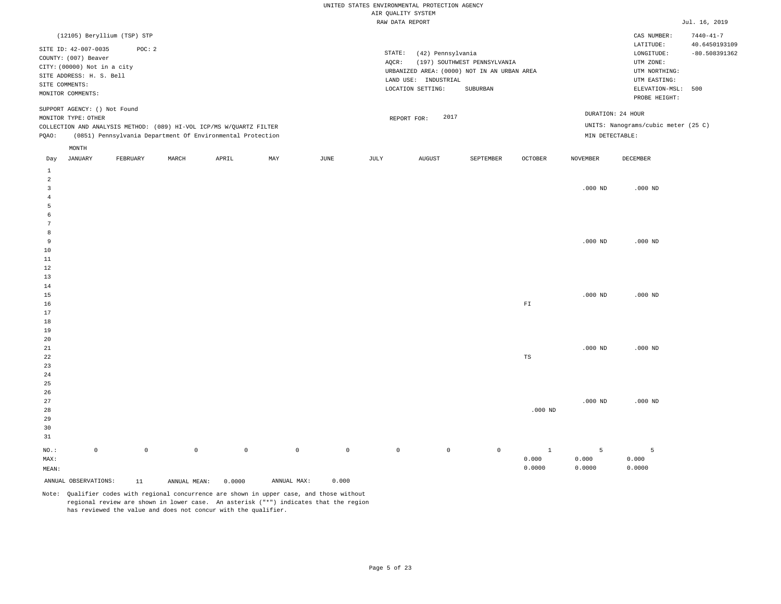|                |                              |                             |              |                                                                     |             |                     | AIR QUALITY SYSTEM | UNITED STATES ENVIRONMENTAL PROTECTION AGENCY |                                             |                         |                 |                                     |                 |
|----------------|------------------------------|-----------------------------|--------------|---------------------------------------------------------------------|-------------|---------------------|--------------------|-----------------------------------------------|---------------------------------------------|-------------------------|-----------------|-------------------------------------|-----------------|
|                |                              |                             |              |                                                                     |             |                     | RAW DATA REPORT    |                                               |                                             |                         |                 |                                     | Jul. 16, 2019   |
|                |                              | (12105) Beryllium (TSP) STP |              |                                                                     |             |                     |                    |                                               |                                             |                         |                 | CAS NUMBER:                         | $7440 - 41 - 7$ |
|                | SITE ID: 42-007-0035         | POC: 2                      |              |                                                                     |             |                     |                    |                                               |                                             |                         |                 | LATITUDE:                           | 40.6450193109   |
|                | COUNTY: (007) Beaver         |                             |              |                                                                     |             |                     | STATE:             | (42) Pennsylvania                             |                                             |                         |                 | LONGITUDE:                          | $-80.508391362$ |
|                | CITY: (00000) Not in a city  |                             |              |                                                                     |             |                     | AQCR:              |                                               | (197) SOUTHWEST PENNSYLVANIA                |                         |                 | UTM ZONE:                           |                 |
|                | SITE ADDRESS: H. S. Bell     |                             |              |                                                                     |             |                     |                    | LAND USE: INDUSTRIAL                          | URBANIZED AREA: (0000) NOT IN AN URBAN AREA |                         |                 | UTM NORTHING:<br>UTM EASTING:       |                 |
|                | SITE COMMENTS:               |                             |              |                                                                     |             |                     |                    | LOCATION SETTING:                             | ${\tt SUBURBAN}$                            |                         |                 | ELEVATION-MSL: 500                  |                 |
|                | MONITOR COMMENTS:            |                             |              |                                                                     |             |                     |                    |                                               |                                             |                         |                 | PROBE HEIGHT:                       |                 |
|                | SUPPORT AGENCY: () Not Found |                             |              |                                                                     |             |                     |                    |                                               |                                             |                         |                 | DURATION: 24 HOUR                   |                 |
|                | MONITOR TYPE: OTHER          |                             |              |                                                                     |             |                     |                    | 2017<br>REPORT FOR:                           |                                             |                         |                 |                                     |                 |
|                |                              |                             |              | COLLECTION AND ANALYSIS METHOD: (089) HI-VOL ICP/MS W/QUARTZ FILTER |             |                     |                    |                                               |                                             |                         |                 | UNITS: Nanograms/cubic meter (25 C) |                 |
| PQAO:          |                              |                             |              | (0851) Pennsylvania Department Of Environmental Protection          |             |                     |                    |                                               |                                             |                         | MIN DETECTABLE: |                                     |                 |
| Day            | MONTH<br>JANUARY             | FEBRUARY                    | MARCH        | APRIL                                                               | MAY         | JUNE                | JULY               | <b>AUGUST</b>                                 | SEPTEMBER                                   | OCTOBER                 | <b>NOVEMBER</b> | DECEMBER                            |                 |
| $\mathbf{1}$   |                              |                             |              |                                                                     |             |                     |                    |                                               |                                             |                         |                 |                                     |                 |
| 2              |                              |                             |              |                                                                     |             |                     |                    |                                               |                                             |                         |                 |                                     |                 |
| $\overline{3}$ |                              |                             |              |                                                                     |             |                     |                    |                                               |                                             |                         | $.000$ ND       | $.000$ ND                           |                 |
| $\overline{4}$ |                              |                             |              |                                                                     |             |                     |                    |                                               |                                             |                         |                 |                                     |                 |
| 5              |                              |                             |              |                                                                     |             |                     |                    |                                               |                                             |                         |                 |                                     |                 |
| 6              |                              |                             |              |                                                                     |             |                     |                    |                                               |                                             |                         |                 |                                     |                 |
| 7<br>8         |                              |                             |              |                                                                     |             |                     |                    |                                               |                                             |                         |                 |                                     |                 |
| 9              |                              |                             |              |                                                                     |             |                     |                    |                                               |                                             |                         | $.000$ ND       | $.000$ ND                           |                 |
| 10             |                              |                             |              |                                                                     |             |                     |                    |                                               |                                             |                         |                 |                                     |                 |
| 11             |                              |                             |              |                                                                     |             |                     |                    |                                               |                                             |                         |                 |                                     |                 |
| 12             |                              |                             |              |                                                                     |             |                     |                    |                                               |                                             |                         |                 |                                     |                 |
| 13             |                              |                             |              |                                                                     |             |                     |                    |                                               |                                             |                         |                 |                                     |                 |
| 14             |                              |                             |              |                                                                     |             |                     |                    |                                               |                                             |                         |                 |                                     |                 |
| 15             |                              |                             |              |                                                                     |             |                     |                    |                                               |                                             |                         | $.000$ ND       | $.000$ ND                           |                 |
| 16<br>17       |                              |                             |              |                                                                     |             |                     |                    |                                               |                                             | ${\rm F}\, {\mathbb I}$ |                 |                                     |                 |
| 18             |                              |                             |              |                                                                     |             |                     |                    |                                               |                                             |                         |                 |                                     |                 |
| 19             |                              |                             |              |                                                                     |             |                     |                    |                                               |                                             |                         |                 |                                     |                 |
| 20             |                              |                             |              |                                                                     |             |                     |                    |                                               |                                             |                         |                 |                                     |                 |
| 21             |                              |                             |              |                                                                     |             |                     |                    |                                               |                                             |                         | $.000$ ND       | $.000$ ND                           |                 |
| 22             |                              |                             |              |                                                                     |             |                     |                    |                                               |                                             | TS                      |                 |                                     |                 |
| 23             |                              |                             |              |                                                                     |             |                     |                    |                                               |                                             |                         |                 |                                     |                 |
| 24             |                              |                             |              |                                                                     |             |                     |                    |                                               |                                             |                         |                 |                                     |                 |
| 25<br>26       |                              |                             |              |                                                                     |             |                     |                    |                                               |                                             |                         |                 |                                     |                 |
| 27             |                              |                             |              |                                                                     |             |                     |                    |                                               |                                             |                         | $.000$ ND       | $.000$ ND                           |                 |
| 28             |                              |                             |              |                                                                     |             |                     |                    |                                               |                                             | $.000$ ND               |                 |                                     |                 |
| 29             |                              |                             |              |                                                                     |             |                     |                    |                                               |                                             |                         |                 |                                     |                 |
| 30             |                              |                             |              |                                                                     |             |                     |                    |                                               |                                             |                         |                 |                                     |                 |
| 31             |                              |                             |              |                                                                     |             |                     |                    |                                               |                                             |                         |                 |                                     |                 |
| NO.:           | $\mathbb O$                  | $\mathsf{O}\xspace$         | $\circ$      | $\mathbb O$                                                         | $\mathbb O$ | $\mathsf{O}\xspace$ | $\mathbb O$        | $\mathbb O$                                   | $\mathbb O$                                 | $\mathbf{1}$            | 5               | 5                                   |                 |
| MAX:           |                              |                             |              |                                                                     |             |                     |                    |                                               |                                             | 0.000                   | 0.000           | 0.000                               |                 |
| MEAN:          |                              |                             |              |                                                                     |             |                     |                    |                                               |                                             | 0.0000                  | 0.0000          | 0.0000                              |                 |
|                | ANNUAL OBSERVATIONS:         | 11                          | ANNUAL MEAN: | 0.0000                                                              | ANNUAL MAX: | 0.000               |                    |                                               |                                             |                         |                 |                                     |                 |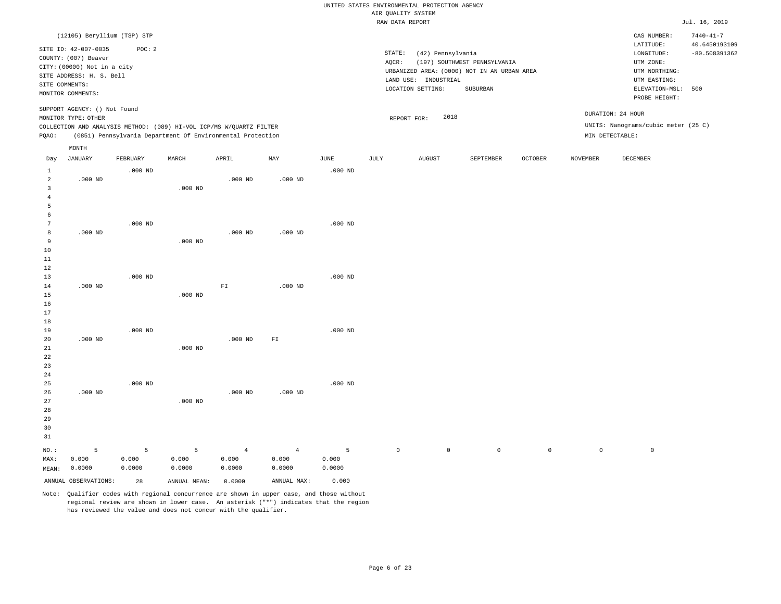|                                                                                     |                                                                                                            |                      |                                                                                                                                   |                                   |                                   |                      | UNITED STATES ENVIRONMENTAL PROTECTION AGENCY |                                           |                                                                             |                     |                 |                                                                      |                                                     |
|-------------------------------------------------------------------------------------|------------------------------------------------------------------------------------------------------------|----------------------|-----------------------------------------------------------------------------------------------------------------------------------|-----------------------------------|-----------------------------------|----------------------|-----------------------------------------------|-------------------------------------------|-----------------------------------------------------------------------------|---------------------|-----------------|----------------------------------------------------------------------|-----------------------------------------------------|
|                                                                                     |                                                                                                            |                      |                                                                                                                                   |                                   |                                   |                      | AIR QUALITY SYSTEM                            |                                           |                                                                             |                     |                 |                                                                      |                                                     |
|                                                                                     |                                                                                                            |                      |                                                                                                                                   |                                   |                                   |                      | RAW DATA REPORT                               |                                           |                                                                             |                     |                 |                                                                      | Jul. 16, 2019                                       |
|                                                                                     | (12105) Beryllium (TSP) STP<br>SITE ID: 42-007-0035<br>COUNTY: (007) Beaver<br>CITY: (00000) Not in a city | POC: 2               |                                                                                                                                   |                                   |                                   |                      | STATE:<br>AQCR:                               | (42) Pennsylvania                         | (197) SOUTHWEST PENNSYLVANIA<br>URBANIZED AREA: (0000) NOT IN AN URBAN AREA |                     |                 | CAS NUMBER:<br>LATITUDE:<br>LONGITUDE:<br>UTM ZONE:<br>UTM NORTHING: | $7440 - 41 - 7$<br>40.6450193109<br>$-80.508391362$ |
|                                                                                     | SITE ADDRESS: H. S. Bell<br>SITE COMMENTS:<br>MONITOR COMMENTS:                                            |                      |                                                                                                                                   |                                   |                                   |                      |                                               | LAND USE: INDUSTRIAL<br>LOCATION SETTING: | SUBURBAN                                                                    |                     |                 | UTM EASTING:<br>ELEVATION-MSL: 500<br>PROBE HEIGHT:                  |                                                     |
|                                                                                     | SUPPORT AGENCY: () Not Found<br>MONITOR TYPE: OTHER                                                        |                      |                                                                                                                                   |                                   |                                   |                      | REPORT FOR:                                   | 2018                                      |                                                                             |                     |                 | DURATION: 24 HOUR                                                    |                                                     |
| PQAO:                                                                               |                                                                                                            |                      | COLLECTION AND ANALYSIS METHOD: (089) HI-VOL ICP/MS W/QUARTZ FILTER<br>(0851) Pennsylvania Department Of Environmental Protection |                                   |                                   |                      |                                               |                                           |                                                                             |                     | MIN DETECTABLE: | UNITS: Nanograms/cubic meter (25 C)                                  |                                                     |
| Day                                                                                 | $\texttt{MONTH}$<br>JANUARY                                                                                | FEBRUARY             | MARCH                                                                                                                             | APRIL                             | MAY                               | JUNE                 | JULY                                          | AUGUST                                    | SEPTEMBER                                                                   | OCTOBER             | <b>NOVEMBER</b> | DECEMBER                                                             |                                                     |
| <sup>1</sup><br>$\overline{a}$<br>$\overline{\mathbf{3}}$                           | $.000$ ND                                                                                                  | $.000$ ND            | $.000$ ND                                                                                                                         | $.000$ ND                         | $.000$ ND                         | $.000$ ND            |                                               |                                           |                                                                             |                     |                 |                                                                      |                                                     |
| $\overline{4}$<br>$\overline{5}$<br>6<br>$\overline{7}$<br>8<br>9<br>$10$<br>$11\,$ | $.000$ ND                                                                                                  | $.000$ ND            | $.000$ ND                                                                                                                         | $.000$ ND                         | $.000$ ND                         | $.000$ ND            |                                               |                                           |                                                                             |                     |                 |                                                                      |                                                     |
| 12<br>13<br>14<br>15<br>16<br>17                                                    | $.000$ ND                                                                                                  | $.000$ ND            | $.000$ ND                                                                                                                         | ${\rm FT}$                        | $.000$ ND                         | $.000$ ND            |                                               |                                           |                                                                             |                     |                 |                                                                      |                                                     |
| 18<br>19<br>20<br>$2\sqrt{1}$<br>22<br>23                                           | $.000$ ND                                                                                                  | $.000$ ND            | $.000$ ND                                                                                                                         | $.000$ ND                         | FI                                | $.000$ ND            |                                               |                                           |                                                                             |                     |                 |                                                                      |                                                     |
| 24<br>25<br>26<br>27<br>28<br>29<br>30<br>31                                        | $.000$ ND                                                                                                  | $.000$ ND            | $.000$ ND                                                                                                                         | $.000$ ND                         | $.000$ ND                         | $.000$ ND            |                                               |                                           |                                                                             |                     |                 |                                                                      |                                                     |
| NO.:<br>MAX:<br>MEAN:                                                               | 5<br>0.000<br>0.0000                                                                                       | 5<br>0.000<br>0.0000 | 5<br>0.000<br>0.0000                                                                                                              | $\overline{4}$<br>0.000<br>0.0000 | $\overline{4}$<br>0.000<br>0.0000 | 5<br>0.000<br>0.0000 | $\circ$                                       | $\mathbb O$                               | $\mathsf 0$                                                                 | $\mathsf{O}\xspace$ | $\mathbb O$     | $\mathbb O$                                                          |                                                     |
|                                                                                     | ANNUAL OBSERVATIONS:                                                                                       | 28                   | ANNUAL MEAN:                                                                                                                      | 0.0000                            | ANNUAL MAX:                       | 0.000                |                                               |                                           |                                                                             |                     |                 |                                                                      |                                                     |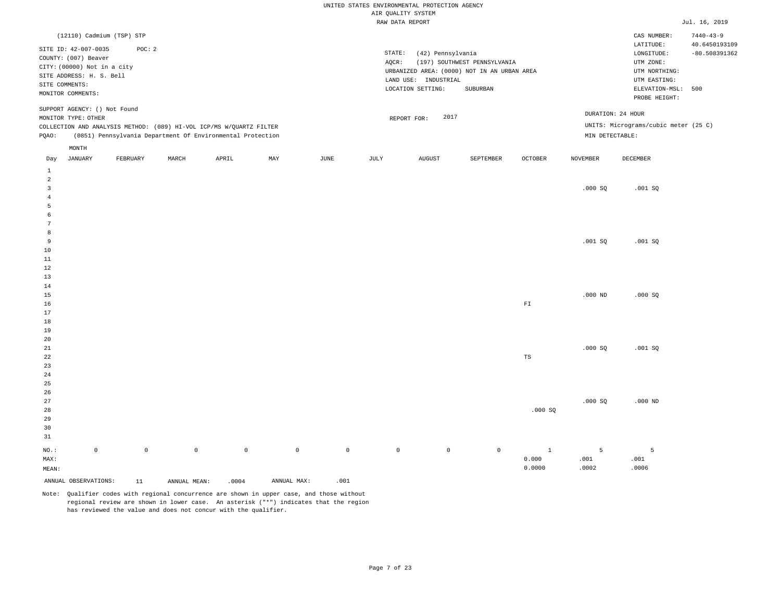|                                       |                                                                                                                           |             |              |                                                                     |             |                     | UNITED STATES ENVIRONMENTAL PROTECTION AGENCY<br>AIR QUALITY SYSTEM |                                                                |                                                                                         |                                 |                    |                                                                                             |                                  |
|---------------------------------------|---------------------------------------------------------------------------------------------------------------------------|-------------|--------------|---------------------------------------------------------------------|-------------|---------------------|---------------------------------------------------------------------|----------------------------------------------------------------|-----------------------------------------------------------------------------------------|---------------------------------|--------------------|---------------------------------------------------------------------------------------------|----------------------------------|
|                                       |                                                                                                                           |             |              |                                                                     |             |                     | RAW DATA REPORT                                                     |                                                                |                                                                                         |                                 |                    |                                                                                             | Jul. 16, 2019                    |
|                                       | (12110) Cadmium (TSP) STP                                                                                                 |             |              |                                                                     |             |                     |                                                                     |                                                                |                                                                                         |                                 |                    | CAS NUMBER:                                                                                 | $7440 - 43 - 9$                  |
|                                       | SITE ID: 42-007-0035<br>COUNTY: (007) Beaver<br>CITY: (00000) Not in a city<br>SITE ADDRESS: H. S. Bell<br>SITE COMMENTS: | POC: 2      |              |                                                                     |             |                     | STATE:<br>AQCR:                                                     | (42) Pennsylvania<br>LAND USE: INDUSTRIAL<br>LOCATION SETTING: | (197) SOUTHWEST PENNSYLVANIA<br>URBANIZED AREA: (0000) NOT IN AN URBAN AREA<br>SUBURBAN |                                 |                    | LATITUDE:<br>LONGITUDE:<br>UTM ZONE:<br>UTM NORTHING:<br>UTM EASTING:<br>ELEVATION-MSL: 500 | 40.6450193109<br>$-80.508391362$ |
|                                       | MONITOR COMMENTS:                                                                                                         |             |              |                                                                     |             |                     |                                                                     |                                                                |                                                                                         |                                 |                    | PROBE HEIGHT:                                                                               |                                  |
|                                       | SUPPORT AGENCY: () Not Found<br>MONITOR TYPE: OTHER                                                                       |             |              | COLLECTION AND ANALYSIS METHOD: (089) HI-VOL ICP/MS W/QUARTZ FILTER |             |                     |                                                                     | 2017<br>REPORT FOR:                                            |                                                                                         |                                 |                    | DURATION: 24 HOUR<br>UNITS: Micrograms/cubic meter (25 C)                                   |                                  |
| PQAO:                                 |                                                                                                                           |             |              | (0851) Pennsylvania Department Of Environmental Protection          |             |                     |                                                                     |                                                                |                                                                                         |                                 | MIN DETECTABLE:    |                                                                                             |                                  |
|                                       | MONTH                                                                                                                     |             |              |                                                                     |             |                     |                                                                     |                                                                |                                                                                         |                                 |                    |                                                                                             |                                  |
| Day                                   | <b>JANUARY</b>                                                                                                            | FEBRUARY    | MARCH        | APRIL                                                               | MAY         | $_{\rm JUNE}$       | JULY                                                                | <b>AUGUST</b>                                                  | SEPTEMBER                                                                               | <b>OCTOBER</b>                  | <b>NOVEMBER</b>    | DECEMBER                                                                                    |                                  |
| $\mathbf{1}$<br>$\overline{2}$        |                                                                                                                           |             |              |                                                                     |             |                     |                                                                     |                                                                |                                                                                         |                                 |                    |                                                                                             |                                  |
| $\overline{3}$<br>$\overline{4}$<br>5 |                                                                                                                           |             |              |                                                                     |             |                     |                                                                     |                                                                |                                                                                         |                                 | .000SQ             | .001SQ                                                                                      |                                  |
| 6<br>$7\phantom{.0}$                  |                                                                                                                           |             |              |                                                                     |             |                     |                                                                     |                                                                |                                                                                         |                                 |                    |                                                                                             |                                  |
| 8<br>$\overline{9}$<br>10             |                                                                                                                           |             |              |                                                                     |             |                     |                                                                     |                                                                |                                                                                         |                                 | .001SQ             | .001SQ                                                                                      |                                  |
| 11<br>12                              |                                                                                                                           |             |              |                                                                     |             |                     |                                                                     |                                                                |                                                                                         |                                 |                    |                                                                                             |                                  |
| 13<br>14<br>15                        |                                                                                                                           |             |              |                                                                     |             |                     |                                                                     |                                                                |                                                                                         |                                 | $.000$ ND          | .000SQ                                                                                      |                                  |
| 16<br>17                              |                                                                                                                           |             |              |                                                                     |             |                     |                                                                     |                                                                |                                                                                         | ${\rm F}\, {\mathbb I}$         |                    |                                                                                             |                                  |
| 18<br>19<br>20                        |                                                                                                                           |             |              |                                                                     |             |                     |                                                                     |                                                                |                                                                                         |                                 |                    |                                                                                             |                                  |
| 21<br>22<br>23<br>24                  |                                                                                                                           |             |              |                                                                     |             |                     |                                                                     |                                                                |                                                                                         | TS                              | .000SQ             | .001SQ                                                                                      |                                  |
| 25<br>26<br>27                        |                                                                                                                           |             |              |                                                                     |             |                     |                                                                     |                                                                |                                                                                         |                                 | .000SQ             | $.000$ ND                                                                                   |                                  |
| 28<br>29<br>30<br>31                  |                                                                                                                           |             |              |                                                                     |             |                     |                                                                     |                                                                |                                                                                         | .000SQ                          |                    |                                                                                             |                                  |
| NO.:<br>MAX:<br>MEAN:                 | $\mathbb O$                                                                                                               | $\mathbb O$ | $\circ$      | $\mathbb O$                                                         | $\mathbb O$ | $\mathsf{O}\xspace$ | $\mathbb O$                                                         | $\circ$                                                        | $\mathbb O$                                                                             | $\mathbf{1}$<br>0.000<br>0.0000 | 5<br>.001<br>.0002 | 5<br>.001<br>.0006                                                                          |                                  |
|                                       | ANNUAL OBSERVATIONS:                                                                                                      | 11          | ANNUAL MEAN: | .0004                                                               | ANNUAL MAX: | .001                |                                                                     |                                                                |                                                                                         |                                 |                    |                                                                                             |                                  |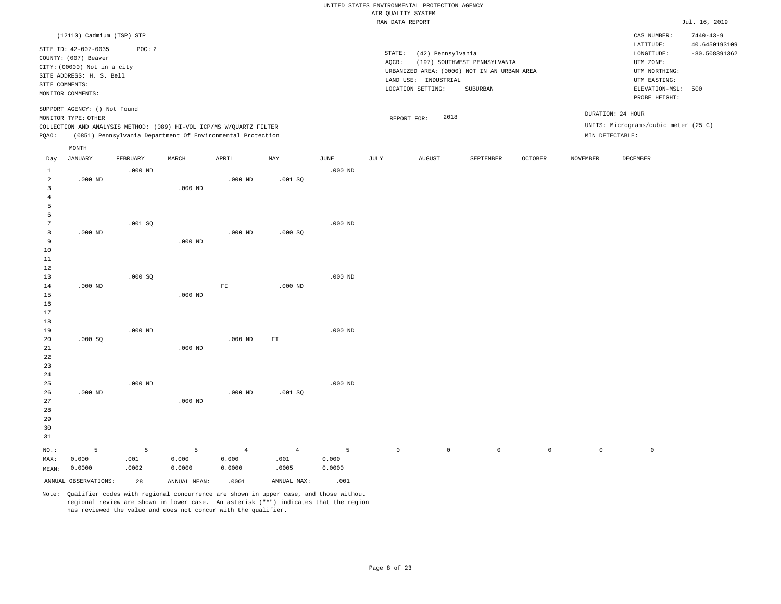|                                                             |                                                                                                          |                       |                                                            |                                   |                                 |                          |                     | UNITED STATES ENVIRONMENTAL PROTECTION AGENCY |                                                         |                     |                     |                                                                  |                                                     |
|-------------------------------------------------------------|----------------------------------------------------------------------------------------------------------|-----------------------|------------------------------------------------------------|-----------------------------------|---------------------------------|--------------------------|---------------------|-----------------------------------------------|---------------------------------------------------------|---------------------|---------------------|------------------------------------------------------------------|-----------------------------------------------------|
|                                                             |                                                                                                          |                       |                                                            |                                   |                                 |                          | AIR QUALITY SYSTEM  |                                               |                                                         |                     |                     |                                                                  |                                                     |
|                                                             |                                                                                                          |                       |                                                            |                                   |                                 |                          | RAW DATA REPORT     |                                               |                                                         |                     |                     |                                                                  | Jul. 16, 2019                                       |
|                                                             | (12110) Cadmium (TSP) STP<br>SITE ID: 42-007-0035<br>COUNTY: (007) Beaver<br>CITY: (00000) Not in a city | POC: 2                |                                                            |                                   |                                 |                          | STATE:<br>AQCR:     | (42) Pennsylvania                             | (197) SOUTHWEST PENNSYLVANIA                            |                     |                     | CAS NUMBER:<br>LATITUDE:<br>LONGITUDE:<br>UTM ZONE:              | $7440 - 43 - 9$<br>40.6450193109<br>$-80.508391362$ |
|                                                             | SITE ADDRESS: H. S. Bell<br>SITE COMMENTS:<br>MONITOR COMMENTS:                                          |                       |                                                            |                                   |                                 |                          |                     | LAND USE: INDUSTRIAL<br>LOCATION SETTING:     | URBANIZED AREA: (0000) NOT IN AN URBAN AREA<br>SUBURBAN |                     |                     | UTM NORTHING:<br>UTM EASTING:<br>ELEVATION-MSL:<br>PROBE HEIGHT: | 500                                                 |
|                                                             | SUPPORT AGENCY: () Not Found<br>MONITOR TYPE: OTHER                                                      |                       |                                                            |                                   |                                 |                          |                     | 2018<br>REPORT FOR:                           |                                                         |                     |                     | DURATION: 24 HOUR                                                |                                                     |
| PQAO:                                                       | COLLECTION AND ANALYSIS METHOD: (089) HI-VOL ICP/MS W/QUARTZ FILTER                                      |                       | (0851) Pennsylvania Department Of Environmental Protection |                                   |                                 |                          |                     |                                               |                                                         |                     |                     | UNITS: Micrograms/cubic meter (25 C)<br>MIN DETECTABLE:          |                                                     |
|                                                             | MONTH                                                                                                    |                       |                                                            |                                   |                                 |                          |                     |                                               |                                                         |                     |                     |                                                                  |                                                     |
| Day<br>$\mathbf{1}$                                         | <b>JANUARY</b>                                                                                           | FEBRUARY<br>$.000$ ND | MARCH                                                      | APRIL                             | MAY                             | <b>JUNE</b><br>$.000$ ND | <b>JULY</b>         | AUGUST                                        | SEPTEMBER                                               | <b>OCTOBER</b>      | <b>NOVEMBER</b>     | DECEMBER                                                         |                                                     |
| $\overline{2}$<br>$\overline{\mathbf{3}}$<br>$\overline{4}$ | $.000$ ND                                                                                                |                       | $.000$ ND                                                  | $.000$ ND                         | $.001$ SO                       |                          |                     |                                               |                                                         |                     |                     |                                                                  |                                                     |
| 5<br>6<br>7                                                 |                                                                                                          | .001SQ                |                                                            |                                   |                                 | $.000$ ND                |                     |                                               |                                                         |                     |                     |                                                                  |                                                     |
| 8<br>9<br>$10$                                              | $.000$ ND                                                                                                |                       | $.000$ ND                                                  | $.000$ ND                         | .000 SQ                         |                          |                     |                                               |                                                         |                     |                     |                                                                  |                                                     |
| $1\,1$<br>12<br>13                                          |                                                                                                          | .000SQ                |                                                            |                                   |                                 | $.000$ ND                |                     |                                               |                                                         |                     |                     |                                                                  |                                                     |
| 14<br>15<br>16<br>17                                        | $.000$ ND                                                                                                |                       | $.000$ ND                                                  | $\mathbb{F} \mathbbm{I}$          | $.000$ ND                       |                          |                     |                                               |                                                         |                     |                     |                                                                  |                                                     |
| 18<br>19                                                    |                                                                                                          | $.000$ ND             |                                                            |                                   |                                 | $.000$ ND                |                     |                                               |                                                         |                     |                     |                                                                  |                                                     |
| 20<br>21<br>22<br>23                                        | .000 SQ                                                                                                  |                       | $.000$ ND                                                  | $.000$ ND                         | ${\tt F1}$                      |                          |                     |                                               |                                                         |                     |                     |                                                                  |                                                     |
| $2\sqrt{4}$<br>25<br>26<br>27                               | $.000$ ND                                                                                                | $.000$ ND             | $.000$ ND                                                  | $.000$ ND                         | .001 SQ                         | $.000$ ND                |                     |                                               |                                                         |                     |                     |                                                                  |                                                     |
| 28<br>29<br>30<br>31                                        |                                                                                                          |                       |                                                            |                                   |                                 |                          |                     |                                               |                                                         |                     |                     |                                                                  |                                                     |
| NO.:<br>MAX:<br>MEAN:                                       | 5<br>0.000<br>0.0000                                                                                     | 5<br>.001<br>.0002    | 5<br>0.000<br>0.0000                                       | $\overline{4}$<br>0.000<br>0.0000 | $\overline{4}$<br>.001<br>.0005 | 5<br>0.000<br>0.0000     | $\mathsf{O}\xspace$ | $\mathbb O$                                   | $\mathsf 0$                                             | $\mathsf{O}\xspace$ | $\mathsf{O}\xspace$ | $\mathsf 0$                                                      |                                                     |
|                                                             | ANNUAL OBSERVATIONS:                                                                                     | 28                    | ANNUAL MEAN:                                               | .0001                             | ANNUAL MAX:                     | .001                     |                     |                                               |                                                         |                     |                     |                                                                  |                                                     |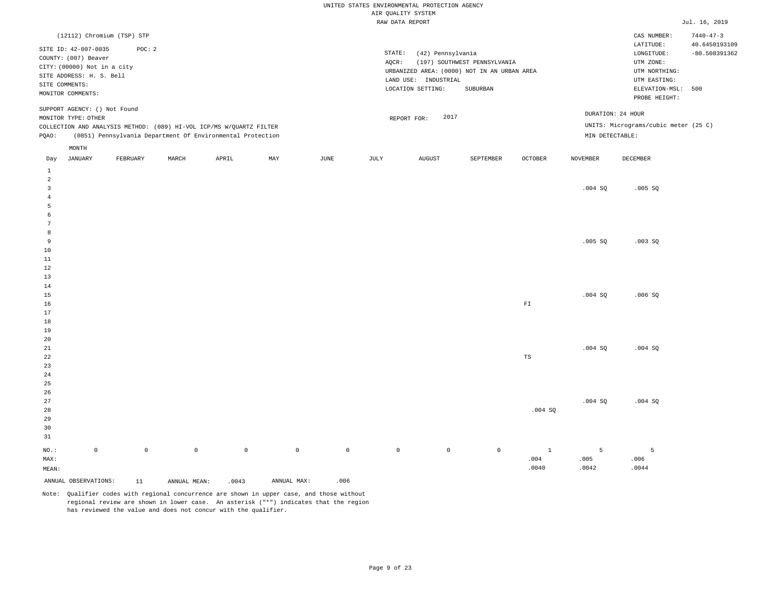|                                  |                                                     |                            |              |                                                                                                                                   |             |                     | UNITED STATES ENVIRONMENTAL PROTECTION AGENCY | AIR QUALITY SYSTEM   |                                             |              |                 |                                      |                 |
|----------------------------------|-----------------------------------------------------|----------------------------|--------------|-----------------------------------------------------------------------------------------------------------------------------------|-------------|---------------------|-----------------------------------------------|----------------------|---------------------------------------------|--------------|-----------------|--------------------------------------|-----------------|
|                                  |                                                     |                            |              |                                                                                                                                   |             |                     |                                               | RAW DATA REPORT      |                                             |              |                 |                                      | Jul. 16, 2019   |
|                                  |                                                     | (12112) Chromium (TSP) STP |              |                                                                                                                                   |             |                     |                                               |                      |                                             |              |                 | CAS NUMBER:                          | $7440 - 47 - 3$ |
|                                  |                                                     |                            |              |                                                                                                                                   |             |                     |                                               |                      |                                             |              |                 | $\mathtt{LATITUDE}$                  | 40.6450193109   |
|                                  | SITE ID: 42-007-0035                                | POC: 2                     |              |                                                                                                                                   |             |                     | STATE:                                        | (42) Pennsylvania    |                                             |              |                 | LONGITUDE:                           | $-80.508391362$ |
|                                  | COUNTY: (007) Beaver<br>CITY: (00000) Not in a city |                            |              |                                                                                                                                   |             |                     | AQCR:                                         |                      | (197) SOUTHWEST PENNSYLVANIA                |              |                 | UTM ZONE:                            |                 |
|                                  | SITE ADDRESS: H. S. Bell                            |                            |              |                                                                                                                                   |             |                     |                                               |                      | URBANIZED AREA: (0000) NOT IN AN URBAN AREA |              |                 | UTM NORTHING:                        |                 |
|                                  | SITE COMMENTS:                                      |                            |              |                                                                                                                                   |             |                     |                                               | LAND USE: INDUSTRIAL |                                             |              |                 | UTM EASTING:                         |                 |
|                                  | MONITOR COMMENTS:                                   |                            |              |                                                                                                                                   |             |                     |                                               | LOCATION SETTING:    | SUBURBAN                                    |              |                 | ELEVATION-MSL: 500<br>PROBE HEIGHT:  |                 |
|                                  | SUPPORT AGENCY: () Not Found                        |                            |              |                                                                                                                                   |             |                     |                                               |                      |                                             |              |                 | DURATION: 24 HOUR                    |                 |
|                                  | MONITOR TYPE: OTHER                                 |                            |              |                                                                                                                                   |             |                     |                                               | 2017<br>REPORT FOR:  |                                             |              |                 | UNITS: Micrograms/cubic meter (25 C) |                 |
| PQAO:                            |                                                     |                            |              | COLLECTION AND ANALYSIS METHOD: (089) HI-VOL ICP/MS W/QUARTZ FILTER<br>(0851) Pennsylvania Department Of Environmental Protection |             |                     |                                               |                      |                                             |              | MIN DETECTABLE: |                                      |                 |
|                                  | MONTH                                               |                            |              |                                                                                                                                   |             |                     |                                               |                      |                                             |              |                 |                                      |                 |
| Day                              | JANUARY                                             | FEBRUARY                   | MARCH        | APRIL                                                                                                                             | MAY         | JUNE                | JULY                                          | <b>AUGUST</b>        | SEPTEMBER                                   | OCTOBER      | <b>NOVEMBER</b> | DECEMBER                             |                 |
| $\,1\,$                          |                                                     |                            |              |                                                                                                                                   |             |                     |                                               |                      |                                             |              |                 |                                      |                 |
| $\overline{a}$<br>$\overline{3}$ |                                                     |                            |              |                                                                                                                                   |             |                     |                                               |                      |                                             |              |                 |                                      |                 |
| $\overline{4}$                   |                                                     |                            |              |                                                                                                                                   |             |                     |                                               |                      |                                             |              | $.004$ SQ       | .005 SQ                              |                 |
| 5                                |                                                     |                            |              |                                                                                                                                   |             |                     |                                               |                      |                                             |              |                 |                                      |                 |
| 6                                |                                                     |                            |              |                                                                                                                                   |             |                     |                                               |                      |                                             |              |                 |                                      |                 |
| 7                                |                                                     |                            |              |                                                                                                                                   |             |                     |                                               |                      |                                             |              |                 |                                      |                 |
| 8                                |                                                     |                            |              |                                                                                                                                   |             |                     |                                               |                      |                                             |              |                 |                                      |                 |
| $\overline{9}$                   |                                                     |                            |              |                                                                                                                                   |             |                     |                                               |                      |                                             |              | .005 SQ         | .003SQ                               |                 |
| 10                               |                                                     |                            |              |                                                                                                                                   |             |                     |                                               |                      |                                             |              |                 |                                      |                 |
| 11<br>$1\,2$                     |                                                     |                            |              |                                                                                                                                   |             |                     |                                               |                      |                                             |              |                 |                                      |                 |
| 13                               |                                                     |                            |              |                                                                                                                                   |             |                     |                                               |                      |                                             |              |                 |                                      |                 |
| 14                               |                                                     |                            |              |                                                                                                                                   |             |                     |                                               |                      |                                             |              |                 |                                      |                 |
| 15                               |                                                     |                            |              |                                                                                                                                   |             |                     |                                               |                      |                                             |              | .004SQ          | .006S                                |                 |
| 16                               |                                                     |                            |              |                                                                                                                                   |             |                     |                                               |                      |                                             | ${\rm F}1$   |                 |                                      |                 |
| 17                               |                                                     |                            |              |                                                                                                                                   |             |                     |                                               |                      |                                             |              |                 |                                      |                 |
| 18<br>19                         |                                                     |                            |              |                                                                                                                                   |             |                     |                                               |                      |                                             |              |                 |                                      |                 |
| 20                               |                                                     |                            |              |                                                                                                                                   |             |                     |                                               |                      |                                             |              |                 |                                      |                 |
| 21                               |                                                     |                            |              |                                                                                                                                   |             |                     |                                               |                      |                                             |              | .004S           | .004S                                |                 |
| 22                               |                                                     |                            |              |                                                                                                                                   |             |                     |                                               |                      |                                             | $_{\rm TS}$  |                 |                                      |                 |
| 23                               |                                                     |                            |              |                                                                                                                                   |             |                     |                                               |                      |                                             |              |                 |                                      |                 |
| 24                               |                                                     |                            |              |                                                                                                                                   |             |                     |                                               |                      |                                             |              |                 |                                      |                 |
| 25                               |                                                     |                            |              |                                                                                                                                   |             |                     |                                               |                      |                                             |              |                 |                                      |                 |
| 26<br>27                         |                                                     |                            |              |                                                                                                                                   |             |                     |                                               |                      |                                             |              | .004SQ          | .004 SQ                              |                 |
| 28                               |                                                     |                            |              |                                                                                                                                   |             |                     |                                               |                      |                                             | .004 SQ      |                 |                                      |                 |
| 29                               |                                                     |                            |              |                                                                                                                                   |             |                     |                                               |                      |                                             |              |                 |                                      |                 |
| 30                               |                                                     |                            |              |                                                                                                                                   |             |                     |                                               |                      |                                             |              |                 |                                      |                 |
| 31                               |                                                     |                            |              |                                                                                                                                   |             |                     |                                               |                      |                                             |              |                 |                                      |                 |
| NO.:                             | $\mathbb O$                                         | $\mathsf{O}\xspace$        | $\mathbb O$  | $\mathbb O$                                                                                                                       | $\mathbb O$ | $\mathsf{O}\xspace$ | $\mathbb O$                                   | $\mathbb O$          | $\mathbb O$                                 | $\mathbf{1}$ | 5               | 5                                    |                 |
| MAX:                             |                                                     |                            |              |                                                                                                                                   |             |                     |                                               |                      |                                             | .004         | .005            | .006                                 |                 |
| MEAN:                            |                                                     |                            |              |                                                                                                                                   |             |                     |                                               |                      |                                             | .0040        | .0042           | .0044                                |                 |
|                                  | ANNUAL OBSERVATIONS:                                | 11                         | ANNUAL MEAN: | .0043                                                                                                                             | ANNUAL MAX: | .006                |                                               |                      |                                             |              |                 |                                      |                 |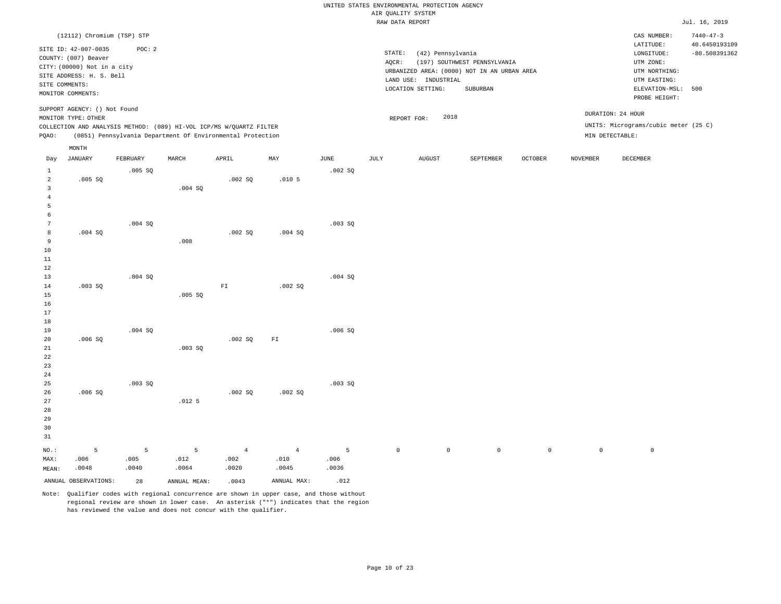|                                                                                    |                                                                                                           |                    |                    |                                                                                                                                   |                    |                    |                     | UNITED STATES ENVIRONMENTAL PROTECTION AGENCY |                                                                             |              |                 |                                                                      |                                                     |
|------------------------------------------------------------------------------------|-----------------------------------------------------------------------------------------------------------|--------------------|--------------------|-----------------------------------------------------------------------------------------------------------------------------------|--------------------|--------------------|---------------------|-----------------------------------------------|-----------------------------------------------------------------------------|--------------|-----------------|----------------------------------------------------------------------|-----------------------------------------------------|
|                                                                                    |                                                                                                           |                    |                    |                                                                                                                                   |                    |                    | AIR QUALITY SYSTEM  |                                               |                                                                             |              |                 |                                                                      |                                                     |
|                                                                                    |                                                                                                           |                    |                    |                                                                                                                                   |                    |                    | RAW DATA REPORT     |                                               |                                                                             |              |                 |                                                                      | Jul. 16, 2019                                       |
|                                                                                    | (12112) Chromium (TSP) STP<br>SITE ID: 42-007-0035<br>COUNTY: (007) Beaver<br>CITY: (00000) Not in a city | POC: 2             |                    |                                                                                                                                   |                    |                    | STATE:<br>AQCR:     | (42) Pennsylvania                             | (197) SOUTHWEST PENNSYLVANIA<br>URBANIZED AREA: (0000) NOT IN AN URBAN AREA |              |                 | CAS NUMBER:<br>LATITUDE:<br>LONGITUDE:<br>UTM ZONE:<br>UTM NORTHING: | $7440 - 47 - 3$<br>40.6450193109<br>$-80.508391362$ |
| SITE COMMENTS:                                                                     | SITE ADDRESS: H. S. Bell<br>MONITOR COMMENTS:                                                             |                    |                    |                                                                                                                                   |                    |                    |                     | LAND USE: INDUSTRIAL<br>LOCATION SETTING:     | SUBURBAN                                                                    |              |                 | UTM EASTING:<br>ELEVATION-MSL: 500<br>PROBE HEIGHT:                  |                                                     |
|                                                                                    | SUPPORT AGENCY: () Not Found<br>MONITOR TYPE: OTHER                                                       |                    |                    |                                                                                                                                   |                    |                    | REPORT FOR:         | 2018                                          |                                                                             |              |                 | DURATION: 24 HOUR                                                    |                                                     |
| PQAO:                                                                              |                                                                                                           |                    |                    | COLLECTION AND ANALYSIS METHOD: (089) HI-VOL ICP/MS W/QUARTZ FILTER<br>(0851) Pennsylvania Department Of Environmental Protection |                    |                    |                     |                                               |                                                                             |              | MIN DETECTABLE: | UNITS: Micrograms/cubic meter (25 C)                                 |                                                     |
| Day                                                                                | $\texttt{MONTH}$<br><b>JANUARY</b>                                                                        | FEBRUARY           | MARCH              | APRIL                                                                                                                             | MAX                | $_{\rm JUNE}$      | JULY                | AUGUST                                        | SEPTEMBER                                                                   | OCTOBER      | <b>NOVEMBER</b> | DECEMBER                                                             |                                                     |
| $\mathbf{1}$<br>$\overline{a}$                                                     | .005 SQ                                                                                                   | .005 SQ            |                    | .002SQ                                                                                                                            | .010 <sub>5</sub>  | .002SQ             |                     |                                               |                                                                             |              |                 |                                                                      |                                                     |
| $\overline{\mathbf{3}}$<br>$\overline{4}$<br>$\overline{5}$<br>6<br>$\overline{7}$ |                                                                                                           | .004 SQ            | .004 SQ            |                                                                                                                                   |                    | .003 SQ            |                     |                                               |                                                                             |              |                 |                                                                      |                                                     |
| 8<br>9<br>$10$<br>$11\,$<br>12                                                     | .004S                                                                                                     |                    | .008               | .002S                                                                                                                             | .004S              |                    |                     |                                               |                                                                             |              |                 |                                                                      |                                                     |
| 13<br>14<br>15<br>16<br>17                                                         | .003SQ                                                                                                    | .004 S0            | .005 SQ            | ${\rm FT}$                                                                                                                        | .002 SQ            | .004S              |                     |                                               |                                                                             |              |                 |                                                                      |                                                     |
| 18<br>19<br>20<br>$2\sqrt{1}$<br>22<br>23<br>24                                    | .006S                                                                                                     | .004 SQ            | .003 SQ            | .002S                                                                                                                             | FI                 | .006SQ             |                     |                                               |                                                                             |              |                 |                                                                      |                                                     |
| 25<br>26<br>27<br>28<br>29<br>30<br>31                                             | .006SQ                                                                                                    | .003 SQ            | .012 <sub>5</sub>  | .002 SQ                                                                                                                           | .002 SQ            | .003 SQ            |                     |                                               |                                                                             |              |                 |                                                                      |                                                     |
| NO.:<br>MAX:<br>MEAN:                                                              | 5<br>.006<br>.0048                                                                                        | 5<br>.005<br>.0040 | 5<br>.012<br>.0064 | $\overline{4}$<br>.002<br>.0020                                                                                                   | 4<br>.010<br>.0045 | 5<br>.006<br>.0036 | $\mathsf{O}\xspace$ | $\mathbb O$                                   | $\circ$                                                                     | $\mathsf{O}$ | $\mathbb O$     | $\mathbb O$                                                          |                                                     |
|                                                                                    | ANNUAL OBSERVATIONS:                                                                                      | 28                 | ANNUAL MEAN:       | .0043                                                                                                                             | ANNUAL MAX:        | .012               |                     |                                               |                                                                             |              |                 |                                                                      |                                                     |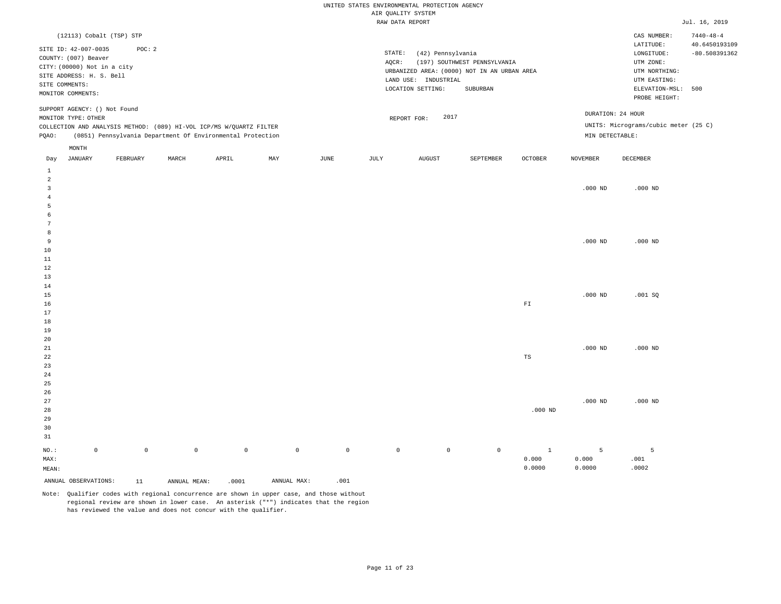|                     |                                              |             |              |                                                                     |             |                     | AIR QUALITY SYSTEM | UNITED STATES ENVIRONMENTAL PROTECTION AGENCY |                                             |                         |                 |                                      |                 |
|---------------------|----------------------------------------------|-------------|--------------|---------------------------------------------------------------------|-------------|---------------------|--------------------|-----------------------------------------------|---------------------------------------------|-------------------------|-----------------|--------------------------------------|-----------------|
|                     |                                              |             |              |                                                                     |             |                     | RAW DATA REPORT    |                                               |                                             |                         |                 |                                      | Jul. 16, 2019   |
|                     | (12113) Cobalt (TSP) STP                     |             |              |                                                                     |             |                     |                    |                                               |                                             |                         |                 | CAS NUMBER:                          | $7440 - 48 - 4$ |
|                     |                                              | POC: 2      |              |                                                                     |             |                     |                    |                                               |                                             |                         |                 | LATITUDE:                            | 40.6450193109   |
|                     | SITE ID: 42-007-0035<br>COUNTY: (007) Beaver |             |              |                                                                     |             |                     | STATE:             | (42) Pennsylvania                             |                                             |                         |                 | LONGITUDE:                           | $-80.508391362$ |
|                     | CITY: (00000) Not in a city                  |             |              |                                                                     |             |                     | AQCR:              |                                               | (197) SOUTHWEST PENNSYLVANIA                |                         |                 | UTM ZONE:                            |                 |
|                     | SITE ADDRESS: H. S. Bell                     |             |              |                                                                     |             |                     |                    |                                               | URBANIZED AREA: (0000) NOT IN AN URBAN AREA |                         |                 | UTM NORTHING:                        |                 |
|                     | SITE COMMENTS:                               |             |              |                                                                     |             |                     |                    | LAND USE: INDUSTRIAL                          |                                             |                         |                 | UTM EASTING:                         |                 |
|                     | MONITOR COMMENTS:                            |             |              |                                                                     |             |                     |                    | LOCATION SETTING:                             | ${\tt SUBURBAN}$                            |                         |                 | ELEVATION-MSL: 500<br>PROBE HEIGHT:  |                 |
|                     | SUPPORT AGENCY: () Not Found                 |             |              |                                                                     |             |                     |                    | 2017                                          |                                             |                         |                 | DURATION: 24 HOUR                    |                 |
|                     | MONITOR TYPE: OTHER                          |             |              | COLLECTION AND ANALYSIS METHOD: (089) HI-VOL ICP/MS W/QUARTZ FILTER |             |                     |                    | REPORT FOR:                                   |                                             |                         |                 | UNITS: Micrograms/cubic meter (25 C) |                 |
| PQAO:               |                                              |             |              | (0851) Pennsylvania Department Of Environmental Protection          |             |                     |                    |                                               |                                             |                         | MIN DETECTABLE: |                                      |                 |
|                     | MONTH                                        |             |              |                                                                     |             |                     |                    |                                               |                                             |                         |                 |                                      |                 |
| Day                 | JANUARY                                      | FEBRUARY    | MARCH        | APRIL                                                               | MAY         | JUNE                | JULY               | <b>AUGUST</b>                                 | SEPTEMBER                                   | OCTOBER                 | <b>NOVEMBER</b> | DECEMBER                             |                 |
| $\mathbf{1}$        |                                              |             |              |                                                                     |             |                     |                    |                                               |                                             |                         |                 |                                      |                 |
| 2                   |                                              |             |              |                                                                     |             |                     |                    |                                               |                                             |                         |                 |                                      |                 |
| $\overline{3}$      |                                              |             |              |                                                                     |             |                     |                    |                                               |                                             |                         | $.000$ ND       | $.000$ ND                            |                 |
| $\overline{4}$<br>5 |                                              |             |              |                                                                     |             |                     |                    |                                               |                                             |                         |                 |                                      |                 |
| 6                   |                                              |             |              |                                                                     |             |                     |                    |                                               |                                             |                         |                 |                                      |                 |
| 7                   |                                              |             |              |                                                                     |             |                     |                    |                                               |                                             |                         |                 |                                      |                 |
| 8                   |                                              |             |              |                                                                     |             |                     |                    |                                               |                                             |                         |                 |                                      |                 |
| 9                   |                                              |             |              |                                                                     |             |                     |                    |                                               |                                             |                         | $.000$ ND       | $.000$ ND                            |                 |
| 10                  |                                              |             |              |                                                                     |             |                     |                    |                                               |                                             |                         |                 |                                      |                 |
| 11                  |                                              |             |              |                                                                     |             |                     |                    |                                               |                                             |                         |                 |                                      |                 |
| 12                  |                                              |             |              |                                                                     |             |                     |                    |                                               |                                             |                         |                 |                                      |                 |
| 13                  |                                              |             |              |                                                                     |             |                     |                    |                                               |                                             |                         |                 |                                      |                 |
| 14<br>15            |                                              |             |              |                                                                     |             |                     |                    |                                               |                                             |                         | $.000$ ND       | .001SQ                               |                 |
| 16                  |                                              |             |              |                                                                     |             |                     |                    |                                               |                                             | ${\rm F}\, {\mathbb I}$ |                 |                                      |                 |
| 17                  |                                              |             |              |                                                                     |             |                     |                    |                                               |                                             |                         |                 |                                      |                 |
| 18                  |                                              |             |              |                                                                     |             |                     |                    |                                               |                                             |                         |                 |                                      |                 |
| 19                  |                                              |             |              |                                                                     |             |                     |                    |                                               |                                             |                         |                 |                                      |                 |
| 20                  |                                              |             |              |                                                                     |             |                     |                    |                                               |                                             |                         |                 |                                      |                 |
| 21                  |                                              |             |              |                                                                     |             |                     |                    |                                               |                                             |                         | $.000$ ND       | $.000$ ND                            |                 |
| 22                  |                                              |             |              |                                                                     |             |                     |                    |                                               |                                             | TS                      |                 |                                      |                 |
| 23                  |                                              |             |              |                                                                     |             |                     |                    |                                               |                                             |                         |                 |                                      |                 |
| 24                  |                                              |             |              |                                                                     |             |                     |                    |                                               |                                             |                         |                 |                                      |                 |
| 25<br>26            |                                              |             |              |                                                                     |             |                     |                    |                                               |                                             |                         |                 |                                      |                 |
| 27                  |                                              |             |              |                                                                     |             |                     |                    |                                               |                                             |                         | $.000$ ND       | $.000$ ND                            |                 |
| 28                  |                                              |             |              |                                                                     |             |                     |                    |                                               |                                             | $.000$ ND               |                 |                                      |                 |
| 29                  |                                              |             |              |                                                                     |             |                     |                    |                                               |                                             |                         |                 |                                      |                 |
| 30                  |                                              |             |              |                                                                     |             |                     |                    |                                               |                                             |                         |                 |                                      |                 |
| 31                  |                                              |             |              |                                                                     |             |                     |                    |                                               |                                             |                         |                 |                                      |                 |
| NO.:                | $\mathbb O$                                  | $\mathbb O$ | $\circ$      | $\mathbb O$                                                         | $\mathbb O$ | $\mathsf{O}\xspace$ | $\mathbb O$        | $\mathbb O$                                   | $\mathbb O$                                 | $\mathbf{1}$            | 5               | 5                                    |                 |
| MAX:                |                                              |             |              |                                                                     |             |                     |                    |                                               |                                             | 0.000                   | 0.000           | .001                                 |                 |
| MEAN:               |                                              |             |              |                                                                     |             |                     |                    |                                               |                                             | 0.0000                  | 0.0000          | .0002                                |                 |
|                     | ANNUAL OBSERVATIONS:                         | 11          | ANNUAL MEAN: | .0001                                                               | ANNUAL MAX: | .001                |                    |                                               |                                             |                         |                 |                                      |                 |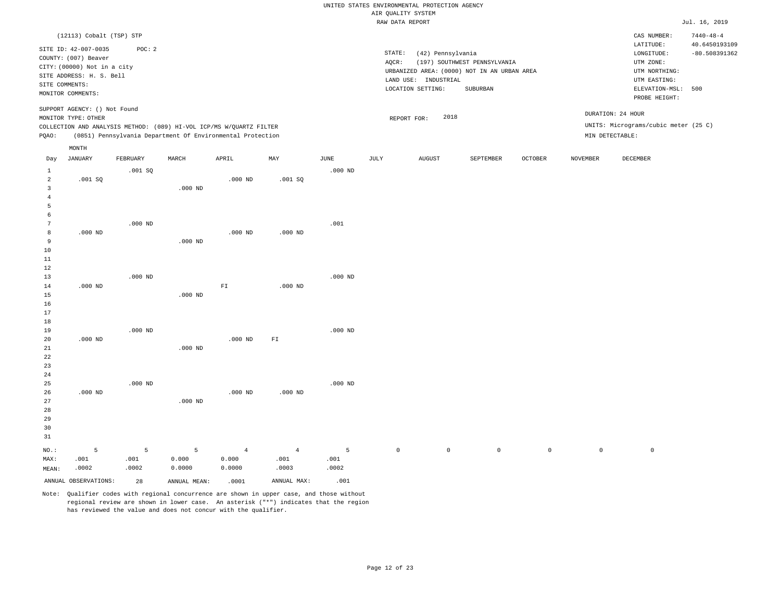|                                                         |                                                                                                                                     |                    |                                                                                                                                   |                                   |                                 |                            | UNITED STATES ENVIRONMENTAL PROTECTION AGENCY |                                                                |                                                                                         |             |                 |                                                                                                            |                                                     |
|---------------------------------------------------------|-------------------------------------------------------------------------------------------------------------------------------------|--------------------|-----------------------------------------------------------------------------------------------------------------------------------|-----------------------------------|---------------------------------|----------------------------|-----------------------------------------------|----------------------------------------------------------------|-----------------------------------------------------------------------------------------|-------------|-----------------|------------------------------------------------------------------------------------------------------------|-----------------------------------------------------|
|                                                         |                                                                                                                                     |                    |                                                                                                                                   |                                   |                                 |                            | AIR QUALITY SYSTEM<br>RAW DATA REPORT         |                                                                |                                                                                         |             |                 |                                                                                                            | Jul. 16, 2019                                       |
| SITE COMMENTS:                                          | (12113) Cobalt (TSP) STP<br>SITE ID: 42-007-0035<br>COUNTY: (007) Beaver<br>CITY: (00000) Not in a city<br>SITE ADDRESS: H. S. Bell | POC: 2             |                                                                                                                                   |                                   |                                 |                            | STATE:<br>AOCR:                               | (42) Pennsylvania<br>LAND USE: INDUSTRIAL<br>LOCATION SETTING: | (197) SOUTHWEST PENNSYLVANIA<br>URBANIZED AREA: (0000) NOT IN AN URBAN AREA<br>SUBURBAN |             |                 | CAS NUMBER:<br>LATITUDE:<br>LONGITUDE:<br>UTM ZONE:<br>UTM NORTHING:<br>UTM EASTING:<br>ELEVATION-MSL: 500 | $7440 - 48 - 4$<br>40.6450193109<br>$-80.508391362$ |
| PQAO:                                                   | MONITOR COMMENTS:<br>SUPPORT AGENCY: () Not Found<br>MONITOR TYPE: OTHER                                                            |                    | COLLECTION AND ANALYSIS METHOD: (089) HI-VOL ICP/MS W/QUARTZ FILTER<br>(0851) Pennsylvania Department Of Environmental Protection |                                   |                                 |                            | REPORT FOR:                                   | 2018                                                           |                                                                                         |             |                 | PROBE HEIGHT:<br>DURATION: 24 HOUR<br>UNITS: Micrograms/cubic meter (25 C)<br>MIN DETECTABLE:              |                                                     |
| Day<br>$\mathbf{1}$                                     | MONTH<br><b>JANUARY</b>                                                                                                             | FEBRUARY<br>.001SQ | MARCH                                                                                                                             | APRIL                             | MAX                             | $_{\rm JUNE}$<br>$.000$ ND | JULY                                          | AUGUST                                                         | SEPTEMBER                                                                               | OCTOBER     | <b>NOVEMBER</b> | DECEMBER                                                                                                   |                                                     |
| $\overline{a}$<br>$\overline{3}$<br>$\overline{4}$<br>5 | .001 SQ                                                                                                                             |                    | $.000$ ND                                                                                                                         | $.000$ ND                         | .001SQ                          |                            |                                               |                                                                |                                                                                         |             |                 |                                                                                                            |                                                     |
| 6<br>$7\phantom{.0}$<br>8<br>9<br>10<br>$1\,1$          | $.000$ ND                                                                                                                           | $.000$ ND          | $.000$ ND                                                                                                                         | $.000$ ND                         | $.000$ ND                       | .001                       |                                               |                                                                |                                                                                         |             |                 |                                                                                                            |                                                     |
| 12<br>13<br>14<br>15<br>16<br>17                        | $.000$ ND                                                                                                                           | $.000$ ND          | $.000$ ND                                                                                                                         | ${\rm FT}$                        | $.000$ ND                       | $.000$ ND                  |                                               |                                                                |                                                                                         |             |                 |                                                                                                            |                                                     |
| 18<br>19<br>20<br>21<br>$2\sqrt{2}$<br>23               | $.000$ ND                                                                                                                           | $.000$ ND          | $.000$ ND                                                                                                                         | $.000$ ND                         | ${\rm FT}$                      | $.000$ ND                  |                                               |                                                                |                                                                                         |             |                 |                                                                                                            |                                                     |
| 24<br>25<br>26<br>27<br>28<br>29<br>30<br>31            | $.000$ ND                                                                                                                           | $.000$ ND          | $.000$ ND                                                                                                                         | $.000$ ND                         | $.000$ ND                       | $.000$ ND                  |                                               |                                                                |                                                                                         |             |                 |                                                                                                            |                                                     |
| NO.:<br>MAX:<br>MEAN:                                   | 5<br>.001<br>.0002                                                                                                                  | 5<br>.001<br>.0002 | 5<br>0.000<br>0.0000                                                                                                              | $\overline{4}$<br>0.000<br>0.0000 | $\overline{4}$<br>.001<br>.0003 | 5<br>.001<br>.0002         | $\mathsf{O}\xspace$                           | $\mathbf{0}$                                                   | $\circ$                                                                                 | $\mathbb O$ | $\mathbb O$     | $\mathbb O$                                                                                                |                                                     |
|                                                         | ANNUAL OBSERVATIONS:                                                                                                                | 28                 | ANNUAL MEAN:                                                                                                                      | .0001                             | ANNUAL MAX:                     | .001                       |                                               |                                                                |                                                                                         |             |                 |                                                                                                            |                                                     |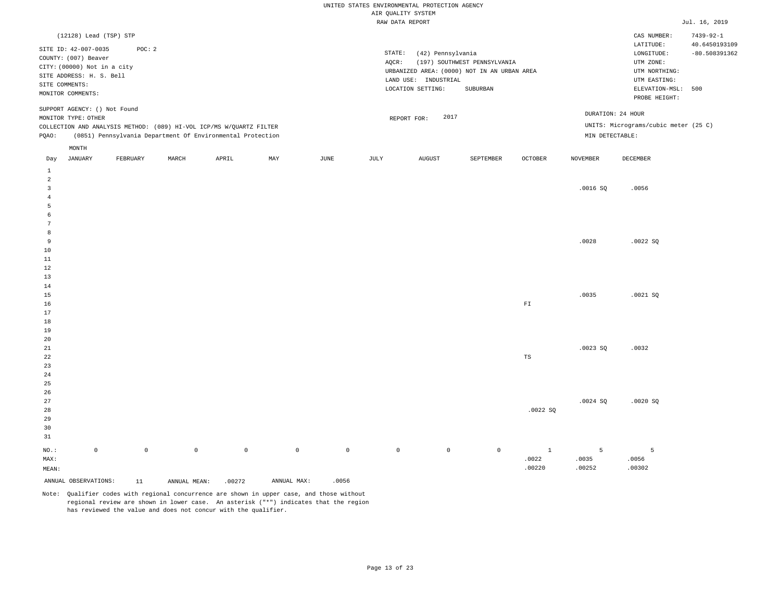|                         |                                            |                     |              |                                                                     |             |             | UNITED STATES ENVIRONMENTAL PROTECTION AGENCY<br>AIR QUALITY SYSTEM |                      |                                             |                |                 |                                      |                 |
|-------------------------|--------------------------------------------|---------------------|--------------|---------------------------------------------------------------------|-------------|-------------|---------------------------------------------------------------------|----------------------|---------------------------------------------|----------------|-----------------|--------------------------------------|-----------------|
|                         |                                            |                     |              |                                                                     |             |             | RAW DATA REPORT                                                     |                      |                                             |                |                 |                                      | Jul. 16, 2019   |
|                         | (12128) Lead (TSP) STP                     |                     |              |                                                                     |             |             |                                                                     |                      |                                             |                |                 | CAS NUMBER:                          | $7439 - 92 - 1$ |
|                         |                                            |                     |              |                                                                     |             |             |                                                                     |                      |                                             |                |                 | $\mathtt{LATITUDE}$                  | 40.6450193109   |
|                         | SITE ID: 42-007-0035                       | POC: 2              |              |                                                                     |             |             | STATE:                                                              | (42) Pennsylvania    |                                             |                |                 | LONGITUDE:                           | $-80.508391362$ |
|                         | COUNTY: (007) Beaver                       |                     |              |                                                                     |             |             | AQCR:                                                               |                      | (197) SOUTHWEST PENNSYLVANIA                |                |                 | UTM ZONE:                            |                 |
|                         | CITY: (00000) Not in a city                |                     |              |                                                                     |             |             |                                                                     |                      | URBANIZED AREA: (0000) NOT IN AN URBAN AREA |                |                 | UTM NORTHING:                        |                 |
|                         | SITE ADDRESS: H. S. Bell<br>SITE COMMENTS: |                     |              |                                                                     |             |             |                                                                     | LAND USE: INDUSTRIAL |                                             |                |                 | UTM EASTING:                         |                 |
|                         | MONITOR COMMENTS:                          |                     |              |                                                                     |             |             |                                                                     | LOCATION SETTING:    | SUBURBAN                                    |                |                 | ELEVATION-MSL:                       | 500             |
|                         |                                            |                     |              |                                                                     |             |             |                                                                     |                      |                                             |                |                 | PROBE HEIGHT:                        |                 |
|                         | SUPPORT AGENCY: () Not Found               |                     |              |                                                                     |             |             |                                                                     |                      |                                             |                |                 | DURATION: 24 HOUR                    |                 |
|                         | MONITOR TYPE: OTHER                        |                     |              |                                                                     |             |             |                                                                     | 2017<br>REPORT FOR:  |                                             |                |                 |                                      |                 |
|                         |                                            |                     |              | COLLECTION AND ANALYSIS METHOD: (089) HI-VOL ICP/MS W/QUARTZ FILTER |             |             |                                                                     |                      |                                             |                |                 | UNITS: Micrograms/cubic meter (25 C) |                 |
| PQAO:                   |                                            |                     |              | (0851) Pennsylvania Department Of Environmental Protection          |             |             |                                                                     |                      |                                             |                | MIN DETECTABLE: |                                      |                 |
|                         | MONTH                                      |                     |              |                                                                     |             |             |                                                                     |                      |                                             |                |                 |                                      |                 |
| Day                     | <b>JANUARY</b>                             | FEBRUARY            | MARCH        | APRIL                                                               | MAY         | JUNE        | JULY                                                                | <b>AUGUST</b>        | SEPTEMBER                                   | <b>OCTOBER</b> | <b>NOVEMBER</b> | DECEMBER                             |                 |
| $\,1\,$                 |                                            |                     |              |                                                                     |             |             |                                                                     |                      |                                             |                |                 |                                      |                 |
| $\overline{a}$          |                                            |                     |              |                                                                     |             |             |                                                                     |                      |                                             |                |                 |                                      |                 |
| $\overline{\mathbf{3}}$ |                                            |                     |              |                                                                     |             |             |                                                                     |                      |                                             |                | .0016SQ         | .0056                                |                 |
| $\overline{4}$          |                                            |                     |              |                                                                     |             |             |                                                                     |                      |                                             |                |                 |                                      |                 |
| 5                       |                                            |                     |              |                                                                     |             |             |                                                                     |                      |                                             |                |                 |                                      |                 |
| 6<br>7                  |                                            |                     |              |                                                                     |             |             |                                                                     |                      |                                             |                |                 |                                      |                 |
| 8                       |                                            |                     |              |                                                                     |             |             |                                                                     |                      |                                             |                |                 |                                      |                 |
| 9                       |                                            |                     |              |                                                                     |             |             |                                                                     |                      |                                             |                | .0028           | .0022S                               |                 |
| 10                      |                                            |                     |              |                                                                     |             |             |                                                                     |                      |                                             |                |                 |                                      |                 |
| 11                      |                                            |                     |              |                                                                     |             |             |                                                                     |                      |                                             |                |                 |                                      |                 |
| $1\,2$                  |                                            |                     |              |                                                                     |             |             |                                                                     |                      |                                             |                |                 |                                      |                 |
| 13                      |                                            |                     |              |                                                                     |             |             |                                                                     |                      |                                             |                |                 |                                      |                 |
| 14                      |                                            |                     |              |                                                                     |             |             |                                                                     |                      |                                             |                |                 |                                      |                 |
| 15                      |                                            |                     |              |                                                                     |             |             |                                                                     |                      |                                             |                | .0035           | .0021SQ                              |                 |
| 16                      |                                            |                     |              |                                                                     |             |             |                                                                     |                      |                                             | ${\rm F}1$     |                 |                                      |                 |
| 17<br>18                |                                            |                     |              |                                                                     |             |             |                                                                     |                      |                                             |                |                 |                                      |                 |
| 19                      |                                            |                     |              |                                                                     |             |             |                                                                     |                      |                                             |                |                 |                                      |                 |
| 20                      |                                            |                     |              |                                                                     |             |             |                                                                     |                      |                                             |                |                 |                                      |                 |
| 21                      |                                            |                     |              |                                                                     |             |             |                                                                     |                      |                                             |                | .0023S          | .0032                                |                 |
| $2\sqrt{2}$             |                                            |                     |              |                                                                     |             |             |                                                                     |                      |                                             | $_{\rm TS}$    |                 |                                      |                 |
| 23                      |                                            |                     |              |                                                                     |             |             |                                                                     |                      |                                             |                |                 |                                      |                 |
| 24                      |                                            |                     |              |                                                                     |             |             |                                                                     |                      |                                             |                |                 |                                      |                 |
| 25                      |                                            |                     |              |                                                                     |             |             |                                                                     |                      |                                             |                |                 |                                      |                 |
| 26                      |                                            |                     |              |                                                                     |             |             |                                                                     |                      |                                             |                |                 |                                      |                 |
| 27<br>28                |                                            |                     |              |                                                                     |             |             |                                                                     |                      |                                             | .0022SQ        | .0024 SQ        | .0020SQ                              |                 |
| 29                      |                                            |                     |              |                                                                     |             |             |                                                                     |                      |                                             |                |                 |                                      |                 |
| 30                      |                                            |                     |              |                                                                     |             |             |                                                                     |                      |                                             |                |                 |                                      |                 |
| 31                      |                                            |                     |              |                                                                     |             |             |                                                                     |                      |                                             |                |                 |                                      |                 |
|                         | $\mathsf 0$                                | $\mathsf{O}\xspace$ | $\mathsf 0$  | $\mathbb O$                                                         | $\mathbb O$ | $\mathsf 0$ | $\mathbb O$                                                         | $\mathbb O$          | $\mathbb O$                                 | $\mathbf{1}$   | 5               | 5                                    |                 |
| NO.:<br>MAX:            |                                            |                     |              |                                                                     |             |             |                                                                     |                      |                                             | .0022          | .0035           | .0056                                |                 |
| MEAN:                   |                                            |                     |              |                                                                     |             |             |                                                                     |                      |                                             | .00220         | .00252          | .00302                               |                 |
|                         |                                            |                     |              |                                                                     |             |             |                                                                     |                      |                                             |                |                 |                                      |                 |
|                         | ANNUAL OBSERVATIONS:                       | 11                  | ANNUAL MEAN: | .00272                                                              | ANNUAL MAX: | .0056       |                                                                     |                      |                                             |                |                 |                                      |                 |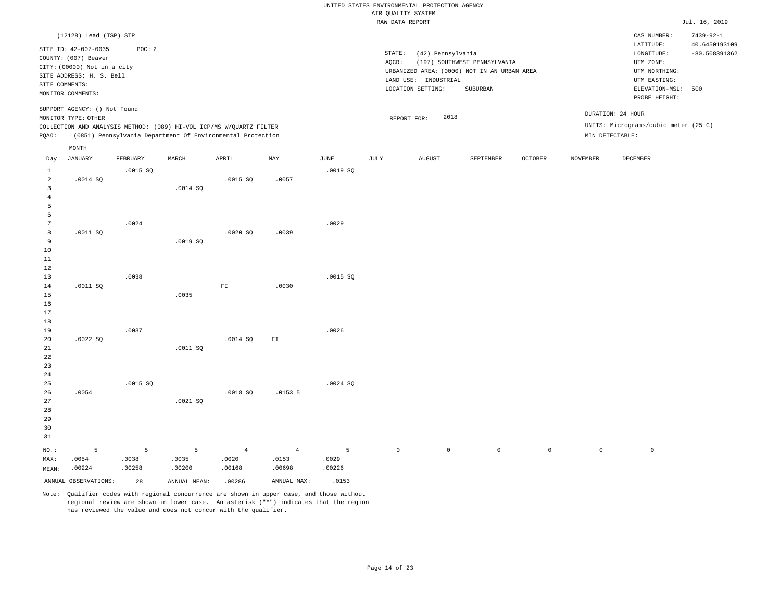|                                                                             |                                                                                                       |                      |                                                                     |                                   |                                   |                      |                     | UNITED STATES ENVIRONMENTAL PROTECTION AGENCY |                                                         |             |                 |                                                                      |                                                     |
|-----------------------------------------------------------------------------|-------------------------------------------------------------------------------------------------------|----------------------|---------------------------------------------------------------------|-----------------------------------|-----------------------------------|----------------------|---------------------|-----------------------------------------------|---------------------------------------------------------|-------------|-----------------|----------------------------------------------------------------------|-----------------------------------------------------|
|                                                                             |                                                                                                       |                      |                                                                     |                                   |                                   |                      | AIR QUALITY SYSTEM  |                                               |                                                         |             |                 |                                                                      |                                                     |
|                                                                             |                                                                                                       |                      |                                                                     |                                   |                                   |                      | RAW DATA REPORT     |                                               |                                                         |             |                 |                                                                      | Jul. 16, 2019                                       |
|                                                                             | (12128) Lead (TSP) STP<br>SITE ID: 42-007-0035<br>COUNTY: (007) Beaver<br>CITY: (00000) Not in a city | POC: 2               |                                                                     |                                   |                                   |                      | STATE:<br>AOCR:     | (42) Pennsylvania                             | (197) SOUTHWEST PENNSYLVANIA                            |             |                 | CAS NUMBER:<br>LATITUDE:<br>LONGITUDE:<br>UTM ZONE:                  | $7439 - 92 - 1$<br>40.6450193109<br>$-80.508391362$ |
| SITE COMMENTS:                                                              | SITE ADDRESS: H. S. Bell<br>MONITOR COMMENTS:                                                         |                      |                                                                     |                                   |                                   |                      |                     | LAND USE: INDUSTRIAL<br>LOCATION SETTING:     | URBANIZED AREA: (0000) NOT IN AN URBAN AREA<br>SUBURBAN |             |                 | UTM NORTHING:<br>UTM EASTING:<br>ELEVATION-MSL: 500<br>PROBE HEIGHT: |                                                     |
|                                                                             | SUPPORT AGENCY: () Not Found<br>MONITOR TYPE: OTHER                                                   |                      | COLLECTION AND ANALYSIS METHOD: (089) HI-VOL ICP/MS W/QUARTZ FILTER |                                   |                                   |                      | REPORT FOR:         | 2018                                          |                                                         |             |                 | DURATION: 24 HOUR<br>UNITS: Micrograms/cubic meter (25 C)            |                                                     |
| PQAO:                                                                       |                                                                                                       |                      | (0851) Pennsylvania Department Of Environmental Protection          |                                   |                                   |                      |                     |                                               |                                                         |             |                 | MIN DETECTABLE:                                                      |                                                     |
|                                                                             | $\texttt{MONTH}$                                                                                      |                      |                                                                     |                                   |                                   |                      |                     |                                               |                                                         |             |                 |                                                                      |                                                     |
| Day                                                                         | <b>JANUARY</b>                                                                                        | FEBRUARY             | MARCH                                                               | APRIL                             | MAX                               | <b>JUNE</b>          | JULY                | ${\tt AUGUST}$                                | SEPTEMBER                                               | OCTOBER     | <b>NOVEMBER</b> | DECEMBER                                                             |                                                     |
| $\mathbf{1}$<br>$\overline{a}$<br>$\overline{\mathbf{3}}$<br>$\overline{4}$ | .0014 SQ                                                                                              | .0015 S              | .0014 SQ                                                            | .0015 SQ                          | .0057                             | .0019 SO             |                     |                                               |                                                         |             |                 |                                                                      |                                                     |
| $\overline{5}$<br>6<br>$7\phantom{.0}$<br>8<br>9                            | .0011 SQ                                                                                              | .0024                | .0019SQ                                                             | .0020SQ                           | .0039                             | .0029                |                     |                                               |                                                         |             |                 |                                                                      |                                                     |
| $10$<br>11<br>$1\,2$<br>13                                                  |                                                                                                       | .0038                |                                                                     |                                   |                                   | .0015 SQ             |                     |                                               |                                                         |             |                 |                                                                      |                                                     |
| 14<br>15<br>16<br>17<br>18                                                  | .0011 SQ                                                                                              |                      | .0035                                                               | ${\rm FT}$                        | .0030                             |                      |                     |                                               |                                                         |             |                 |                                                                      |                                                     |
| 19<br>20<br>21<br>22<br>23<br>24                                            | .0022SQ                                                                                               | .0037                | .0011 SQ                                                            | .0014 SQ                          | ${\rm FT}$                        | .0026                |                     |                                               |                                                         |             |                 |                                                                      |                                                     |
| 25<br>26<br>27<br>28<br>29<br>30<br>31                                      | .0054                                                                                                 | .0015 SQ             | .0021SQ                                                             | .0018 SQ                          | .01535                            | .0024S               |                     |                                               |                                                         |             |                 |                                                                      |                                                     |
| NO.:<br>MAX:<br>MEAN:                                                       | 5<br>.0054<br>.00224                                                                                  | 5<br>.0038<br>.00258 | 5<br>.0035<br>.00200                                                | $\overline{4}$<br>.0020<br>.00168 | $\overline{4}$<br>.0153<br>.00698 | 5<br>.0029<br>.00226 | $\mathsf{O}\xspace$ | $\mathbb O$                                   | $\mathbb O$                                             | $\mathbb O$ | $\mathbb O$     | $\mathbb O$                                                          |                                                     |
|                                                                             | ANNUAL OBSERVATIONS:                                                                                  | 28                   | ANNUAL MEAN:                                                        | .00286                            | ANNUAL MAX:                       | .0153                |                     |                                               |                                                         |             |                 |                                                                      |                                                     |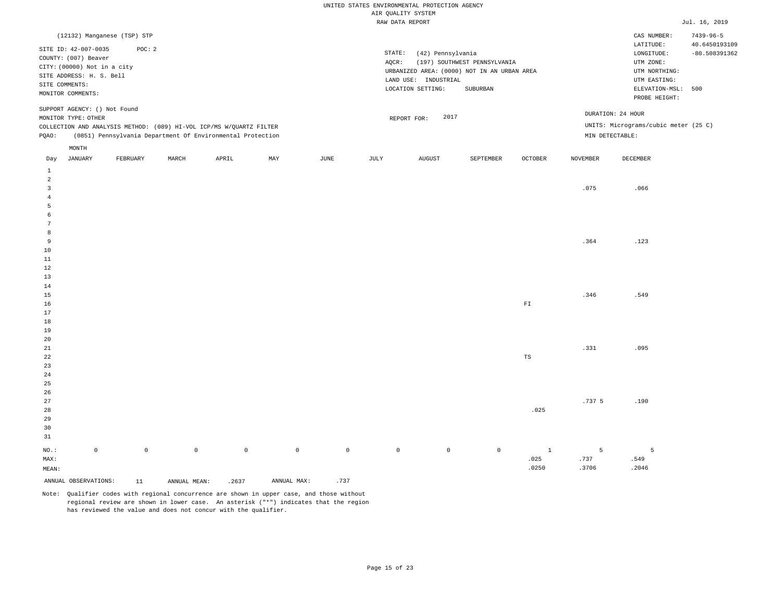|                                |                                                                                                                                                |                             |              |                                                                                                                                   |             |               |                     | UNITED STATES ENVIRONMENTAL PROTECTION AGENCY | AIR QUALITY SYSTEM                        |                   |                                                                                         |                |                   |                                                                            |                                  |
|--------------------------------|------------------------------------------------------------------------------------------------------------------------------------------------|-----------------------------|--------------|-----------------------------------------------------------------------------------------------------------------------------------|-------------|---------------|---------------------|-----------------------------------------------|-------------------------------------------|-------------------|-----------------------------------------------------------------------------------------|----------------|-------------------|----------------------------------------------------------------------------|----------------------------------|
|                                |                                                                                                                                                |                             |              |                                                                                                                                   |             |               |                     |                                               | RAW DATA REPORT                           |                   |                                                                                         |                |                   |                                                                            | Jul. 16, 2019                    |
|                                |                                                                                                                                                | (12132) Manganese (TSP) STP |              |                                                                                                                                   |             |               |                     |                                               |                                           |                   |                                                                                         |                |                   | CAS NUMBER:<br>LATITUDE:                                                   | $7439 - 96 - 5$<br>40.6450193109 |
|                                | SITE ID: 42-007-0035<br>COUNTY: (007) Beaver<br>CITY: (00000) Not in a city<br>SITE ADDRESS: H. S. Bell<br>SITE COMMENTS:<br>MONITOR COMMENTS: | POC: 2                      |              |                                                                                                                                   |             |               |                     | STATE:<br>AQCR:                               | LAND USE: INDUSTRIAL<br>LOCATION SETTING: | (42) Pennsylvania | (197) SOUTHWEST PENNSYLVANIA<br>URBANIZED AREA: (0000) NOT IN AN URBAN AREA<br>SUBURBAN |                |                   | LONGITUDE:<br>UTM ZONE:<br>UTM NORTHING:<br>UTM EASTING:<br>ELEVATION-MSL: | $-80.508391362$<br>500           |
|                                | SUPPORT AGENCY: () Not Found                                                                                                                   |                             |              |                                                                                                                                   |             |               |                     |                                               |                                           |                   |                                                                                         |                | DURATION: 24 HOUR | PROBE HEIGHT:                                                              |                                  |
|                                | MONITOR TYPE: OTHER                                                                                                                            |                             |              |                                                                                                                                   |             |               |                     |                                               | REPORT FOR:                               | 2017              |                                                                                         |                |                   |                                                                            |                                  |
| PQAO:                          |                                                                                                                                                |                             |              | COLLECTION AND ANALYSIS METHOD: (089) HI-VOL ICP/MS W/QUARTZ FILTER<br>(0851) Pennsylvania Department Of Environmental Protection |             |               |                     |                                               |                                           |                   |                                                                                         |                | MIN DETECTABLE:   | UNITS: Micrograms/cubic meter (25 C)                                       |                                  |
|                                | MONTH                                                                                                                                          |                             |              |                                                                                                                                   |             |               |                     |                                               |                                           |                   |                                                                                         |                |                   |                                                                            |                                  |
| Day                            | JANUARY                                                                                                                                        | FEBRUARY                    | MARCH        | APRIL                                                                                                                             | MAX         | $_{\rm JUNE}$ |                     | <b>JULY</b>                                   | <b>AUGUST</b>                             |                   | SEPTEMBER                                                                               | <b>OCTOBER</b> | <b>NOVEMBER</b>   | DECEMBER                                                                   |                                  |
| $\mathbf{1}$<br>$\overline{a}$ |                                                                                                                                                |                             |              |                                                                                                                                   |             |               |                     |                                               |                                           |                   |                                                                                         |                |                   |                                                                            |                                  |
| $\overline{3}$                 |                                                                                                                                                |                             |              |                                                                                                                                   |             |               |                     |                                               |                                           |                   |                                                                                         |                | .075              | .066                                                                       |                                  |
| $\overline{4}$                 |                                                                                                                                                |                             |              |                                                                                                                                   |             |               |                     |                                               |                                           |                   |                                                                                         |                |                   |                                                                            |                                  |
| 5                              |                                                                                                                                                |                             |              |                                                                                                                                   |             |               |                     |                                               |                                           |                   |                                                                                         |                |                   |                                                                            |                                  |
| 6                              |                                                                                                                                                |                             |              |                                                                                                                                   |             |               |                     |                                               |                                           |                   |                                                                                         |                |                   |                                                                            |                                  |
| 7                              |                                                                                                                                                |                             |              |                                                                                                                                   |             |               |                     |                                               |                                           |                   |                                                                                         |                |                   |                                                                            |                                  |
| 8                              |                                                                                                                                                |                             |              |                                                                                                                                   |             |               |                     |                                               |                                           |                   |                                                                                         |                |                   |                                                                            |                                  |
| 9<br>10                        |                                                                                                                                                |                             |              |                                                                                                                                   |             |               |                     |                                               |                                           |                   |                                                                                         |                | .364              | .123                                                                       |                                  |
| 11                             |                                                                                                                                                |                             |              |                                                                                                                                   |             |               |                     |                                               |                                           |                   |                                                                                         |                |                   |                                                                            |                                  |
| 12                             |                                                                                                                                                |                             |              |                                                                                                                                   |             |               |                     |                                               |                                           |                   |                                                                                         |                |                   |                                                                            |                                  |
| 13                             |                                                                                                                                                |                             |              |                                                                                                                                   |             |               |                     |                                               |                                           |                   |                                                                                         |                |                   |                                                                            |                                  |
| 14                             |                                                                                                                                                |                             |              |                                                                                                                                   |             |               |                     |                                               |                                           |                   |                                                                                         |                |                   |                                                                            |                                  |
| 15                             |                                                                                                                                                |                             |              |                                                                                                                                   |             |               |                     |                                               |                                           |                   |                                                                                         |                | .346              | .549                                                                       |                                  |
| 16                             |                                                                                                                                                |                             |              |                                                                                                                                   |             |               |                     |                                               |                                           |                   |                                                                                         | ${\rm FT}$     |                   |                                                                            |                                  |
| 17                             |                                                                                                                                                |                             |              |                                                                                                                                   |             |               |                     |                                               |                                           |                   |                                                                                         |                |                   |                                                                            |                                  |
| 18                             |                                                                                                                                                |                             |              |                                                                                                                                   |             |               |                     |                                               |                                           |                   |                                                                                         |                |                   |                                                                            |                                  |
| 19                             |                                                                                                                                                |                             |              |                                                                                                                                   |             |               |                     |                                               |                                           |                   |                                                                                         |                |                   |                                                                            |                                  |
| 20                             |                                                                                                                                                |                             |              |                                                                                                                                   |             |               |                     |                                               |                                           |                   |                                                                                         |                |                   |                                                                            |                                  |
| 21                             |                                                                                                                                                |                             |              |                                                                                                                                   |             |               |                     |                                               |                                           |                   |                                                                                         |                | .331              | .095                                                                       |                                  |
| 22                             |                                                                                                                                                |                             |              |                                                                                                                                   |             |               |                     |                                               |                                           |                   |                                                                                         | $_{\rm TS}$    |                   |                                                                            |                                  |
| 23<br>24                       |                                                                                                                                                |                             |              |                                                                                                                                   |             |               |                     |                                               |                                           |                   |                                                                                         |                |                   |                                                                            |                                  |
| 25                             |                                                                                                                                                |                             |              |                                                                                                                                   |             |               |                     |                                               |                                           |                   |                                                                                         |                |                   |                                                                            |                                  |
| 26                             |                                                                                                                                                |                             |              |                                                                                                                                   |             |               |                     |                                               |                                           |                   |                                                                                         |                |                   |                                                                            |                                  |
| 27                             |                                                                                                                                                |                             |              |                                                                                                                                   |             |               |                     |                                               |                                           |                   |                                                                                         |                | .737 <sub>5</sub> | .190                                                                       |                                  |
| 28                             |                                                                                                                                                |                             |              |                                                                                                                                   |             |               |                     |                                               |                                           |                   |                                                                                         | .025           |                   |                                                                            |                                  |
| 29                             |                                                                                                                                                |                             |              |                                                                                                                                   |             |               |                     |                                               |                                           |                   |                                                                                         |                |                   |                                                                            |                                  |
| 30                             |                                                                                                                                                |                             |              |                                                                                                                                   |             |               |                     |                                               |                                           |                   |                                                                                         |                |                   |                                                                            |                                  |
| 31                             |                                                                                                                                                |                             |              |                                                                                                                                   |             |               |                     |                                               |                                           |                   |                                                                                         |                |                   |                                                                            |                                  |
| NO.:                           | $\mathsf{O}\xspace$                                                                                                                            | $\mathsf{O}\xspace$         | $\mathbb O$  | $\mathbb O$                                                                                                                       |             | $\mathbb O$   | $\mathsf{O}\xspace$ | $\mathsf{O}\xspace$                           |                                           | $\mathbb O$       | $\mathsf 0$                                                                             | $\mathbf{1}$   | 5                 | 5                                                                          |                                  |
| MAX:                           |                                                                                                                                                |                             |              |                                                                                                                                   |             |               |                     |                                               |                                           |                   |                                                                                         | .025           | .737              | .549                                                                       |                                  |
| MEAN:                          |                                                                                                                                                |                             |              |                                                                                                                                   |             |               |                     |                                               |                                           |                   |                                                                                         | .0250          | .3706             | .2046                                                                      |                                  |
|                                | ANNUAL OBSERVATIONS:                                                                                                                           | 11                          | ANNUAL MEAN: | .2637                                                                                                                             | ANNUAL MAX: |               | .737                |                                               |                                           |                   |                                                                                         |                |                   |                                                                            |                                  |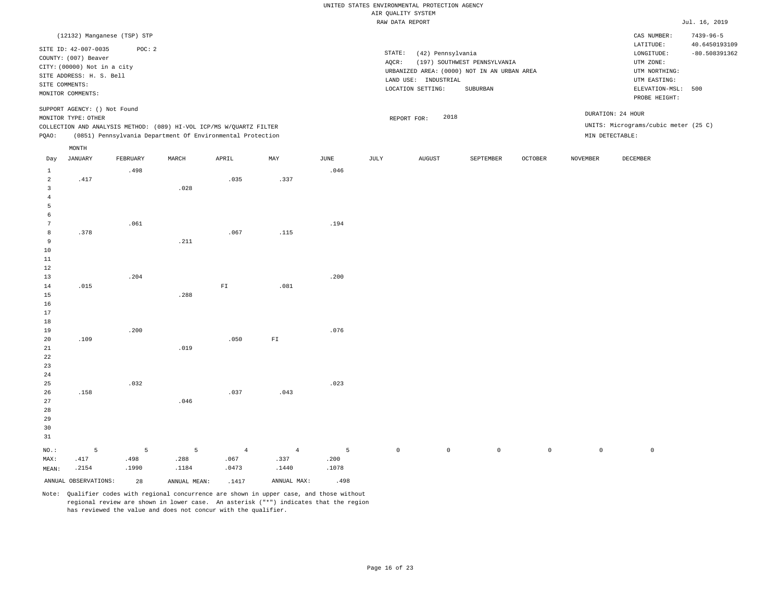|                                           |                                                                             |          |                                                                     |                         |                |             | UNITED STATES ENVIRONMENTAL PROTECTION AGENCY |                      |                                             |                |                 |                                      |                                  |
|-------------------------------------------|-----------------------------------------------------------------------------|----------|---------------------------------------------------------------------|-------------------------|----------------|-------------|-----------------------------------------------|----------------------|---------------------------------------------|----------------|-----------------|--------------------------------------|----------------------------------|
|                                           |                                                                             |          |                                                                     |                         |                |             | AIR QUALITY SYSTEM                            |                      |                                             |                |                 |                                      |                                  |
|                                           |                                                                             |          |                                                                     |                         |                |             | RAW DATA REPORT                               |                      |                                             |                |                 |                                      | Jul. 16, 2019                    |
|                                           | (12132) Manganese (TSP) STP                                                 |          |                                                                     |                         |                |             |                                               |                      |                                             |                |                 | CAS NUMBER:<br>LATITUDE:             | $7439 - 96 - 5$<br>40.6450193109 |
|                                           | SITE ID: 42-007-0035<br>COUNTY: (007) Beaver<br>CITY: (00000) Not in a city | POC: 2   |                                                                     |                         |                |             | STATE:<br>AQCR:                               | (42) Pennsylvania    | (197) SOUTHWEST PENNSYLVANIA                |                |                 | LONGITUDE:<br>UTM ZONE:              | $-80.508391362$                  |
|                                           | SITE ADDRESS: H. S. Bell<br>SITE COMMENTS:                                  |          |                                                                     |                         |                |             |                                               | LAND USE: INDUSTRIAL | URBANIZED AREA: (0000) NOT IN AN URBAN AREA |                |                 | UTM NORTHING:<br>UTM EASTING:        |                                  |
|                                           | MONITOR COMMENTS:                                                           |          |                                                                     |                         |                |             | LOCATION SETTING:                             |                      | SUBURBAN                                    |                |                 | ELEVATION-MSL: 500<br>PROBE HEIGHT:  |                                  |
|                                           | SUPPORT AGENCY: () Not Found<br>MONITOR TYPE: OTHER                         |          |                                                                     |                         |                |             | REPORT FOR:                                   | 2018                 |                                             |                |                 | DURATION: 24 HOUR                    |                                  |
|                                           |                                                                             |          | COLLECTION AND ANALYSIS METHOD: (089) HI-VOL ICP/MS W/QUARTZ FILTER |                         |                |             |                                               |                      |                                             |                |                 | UNITS: Micrograms/cubic meter (25 C) |                                  |
| PQAO:                                     |                                                                             |          | (0851) Pennsylvania Department Of Environmental Protection          |                         |                |             |                                               |                      |                                             |                | MIN DETECTABLE: |                                      |                                  |
|                                           | MONTH                                                                       |          |                                                                     |                         |                |             |                                               |                      |                                             |                |                 |                                      |                                  |
| Day                                       | <b>JANUARY</b>                                                              | FEBRUARY | MARCH                                                               | APRIL                   | MAY            | <b>JUNE</b> | JULY                                          | <b>AUGUST</b>        | SEPTEMBER                                   | <b>OCTOBER</b> | <b>NOVEMBER</b> | <b>DECEMBER</b>                      |                                  |
| $\,$ 1<br>$\sqrt{2}$                      | .417                                                                        | .498     |                                                                     | .035                    | .337           | .046        |                                               |                      |                                             |                |                 |                                      |                                  |
| $\overline{\mathbf{3}}$<br>$\overline{4}$ |                                                                             |          | .028                                                                |                         |                |             |                                               |                      |                                             |                |                 |                                      |                                  |
| 5                                         |                                                                             |          |                                                                     |                         |                |             |                                               |                      |                                             |                |                 |                                      |                                  |
| 6<br>$7\phantom{.0}$                      |                                                                             | .061     |                                                                     |                         |                | .194        |                                               |                      |                                             |                |                 |                                      |                                  |
| $^{\rm 8}$                                | .378                                                                        |          |                                                                     | .067                    | .115           |             |                                               |                      |                                             |                |                 |                                      |                                  |
| 9<br>$10$                                 |                                                                             |          | .211                                                                |                         |                |             |                                               |                      |                                             |                |                 |                                      |                                  |
| 11                                        |                                                                             |          |                                                                     |                         |                |             |                                               |                      |                                             |                |                 |                                      |                                  |
| 12                                        |                                                                             |          |                                                                     |                         |                |             |                                               |                      |                                             |                |                 |                                      |                                  |
| 13<br>14                                  | .015                                                                        | .204     |                                                                     | ${\rm F}\, {\mathbb I}$ | .081           | .200        |                                               |                      |                                             |                |                 |                                      |                                  |
| 15                                        |                                                                             |          | .288                                                                |                         |                |             |                                               |                      |                                             |                |                 |                                      |                                  |
| 16<br>17                                  |                                                                             |          |                                                                     |                         |                |             |                                               |                      |                                             |                |                 |                                      |                                  |
| 18                                        |                                                                             |          |                                                                     |                         |                |             |                                               |                      |                                             |                |                 |                                      |                                  |
| 19<br>20                                  | .109                                                                        | .200     |                                                                     | .050                    | ${\rm FT}$     | .076        |                                               |                      |                                             |                |                 |                                      |                                  |
| $2\sqrt{1}$                               |                                                                             |          | .019                                                                |                         |                |             |                                               |                      |                                             |                |                 |                                      |                                  |
| 22<br>23                                  |                                                                             |          |                                                                     |                         |                |             |                                               |                      |                                             |                |                 |                                      |                                  |
| 24                                        |                                                                             |          |                                                                     |                         |                |             |                                               |                      |                                             |                |                 |                                      |                                  |
| 25<br>26                                  | .158                                                                        | .032     |                                                                     | .037                    | .043           | .023        |                                               |                      |                                             |                |                 |                                      |                                  |
| 27                                        |                                                                             |          | .046                                                                |                         |                |             |                                               |                      |                                             |                |                 |                                      |                                  |
| 28<br>29                                  |                                                                             |          |                                                                     |                         |                |             |                                               |                      |                                             |                |                 |                                      |                                  |
| 30<br>31                                  |                                                                             |          |                                                                     |                         |                |             |                                               |                      |                                             |                |                 |                                      |                                  |
| $NO.$ :                                   | 5                                                                           | 5        | 5                                                                   | $\overline{4}$          | $\overline{4}$ | 5           | $\mathsf{O}\xspace$                           | $\mathbb O$          | $\circ$                                     | $\mathbb O$    | $\mathbb O$     | $\mathbb O$                          |                                  |
| MAX:                                      | .417                                                                        | .498     | .288                                                                | .067                    | .337           | .200        |                                               |                      |                                             |                |                 |                                      |                                  |
| MEAN:                                     | .2154                                                                       | .1990    | .1184                                                               | .0473                   | .1440          | .1078       |                                               |                      |                                             |                |                 |                                      |                                  |
|                                           | ANNUAL OBSERVATIONS:                                                        | 28       | ANNUAL MEAN:                                                        | .1417                   | ANNUAL MAX:    | .498        |                                               |                      |                                             |                |                 |                                      |                                  |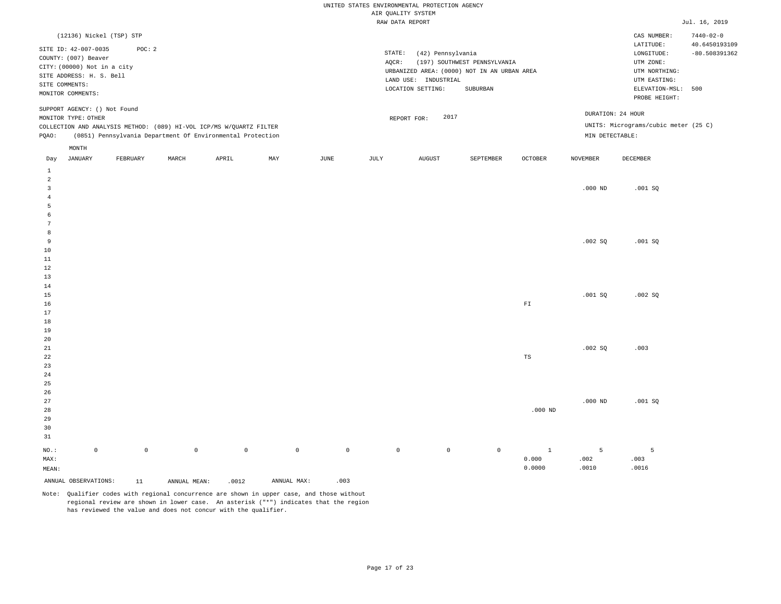|                   |                                                     |                     |              |                                                                     |             |                     | AIR QUALITY SYSTEM | UNITED STATES ENVIRONMENTAL PROTECTION AGENCY |                                             |                |                 |                                      |                                  |
|-------------------|-----------------------------------------------------|---------------------|--------------|---------------------------------------------------------------------|-------------|---------------------|--------------------|-----------------------------------------------|---------------------------------------------|----------------|-----------------|--------------------------------------|----------------------------------|
|                   |                                                     |                     |              |                                                                     |             |                     | RAW DATA REPORT    |                                               |                                             |                |                 |                                      | Jul. 16, 2019                    |
|                   | (12136) Nickel (TSP) STP                            |                     |              |                                                                     |             |                     |                    |                                               |                                             |                |                 | CAS NUMBER:                          | $7440 - 02 - 0$                  |
|                   | SITE ID: 42-007-0035<br>COUNTY: (007) Beaver        | POC: 2              |              |                                                                     |             |                     | STATE:             | (42) Pennsylvania                             |                                             |                |                 | LATITUDE:<br>LONGITUDE:              | 40.6450193109<br>$-80.508391362$ |
|                   | CITY: (00000) Not in a city                         |                     |              |                                                                     |             |                     | AQCR:              |                                               | (197) SOUTHWEST PENNSYLVANIA                |                |                 | UTM ZONE:                            |                                  |
|                   | SITE ADDRESS: H. S. Bell                            |                     |              |                                                                     |             |                     |                    | LAND USE: INDUSTRIAL                          | URBANIZED AREA: (0000) NOT IN AN URBAN AREA |                |                 | UTM NORTHING:<br>UTM EASTING:        |                                  |
|                   | SITE COMMENTS:                                      |                     |              |                                                                     |             |                     |                    | LOCATION SETTING:                             | ${\tt SUBURBAN}$                            |                |                 | ELEVATION-MSL: 500                   |                                  |
|                   | MONITOR COMMENTS:                                   |                     |              |                                                                     |             |                     |                    |                                               |                                             |                |                 | PROBE HEIGHT:                        |                                  |
|                   | SUPPORT AGENCY: () Not Found<br>MONITOR TYPE: OTHER |                     |              |                                                                     |             |                     |                    | 2017<br>REPORT FOR:                           |                                             |                |                 | DURATION: 24 HOUR                    |                                  |
|                   |                                                     |                     |              | COLLECTION AND ANALYSIS METHOD: (089) HI-VOL ICP/MS W/QUARTZ FILTER |             |                     |                    |                                               |                                             |                |                 | UNITS: Micrograms/cubic meter (25 C) |                                  |
| PQAO:             |                                                     |                     |              | (0851) Pennsylvania Department Of Environmental Protection          |             |                     |                    |                                               |                                             |                | MIN DETECTABLE: |                                      |                                  |
|                   | MONTH                                               |                     |              |                                                                     |             |                     |                    |                                               |                                             |                |                 |                                      |                                  |
| Day               | JANUARY                                             | FEBRUARY            | MARCH        | APRIL                                                               | MAY         | JUNE                | JULY               | <b>AUGUST</b>                                 | SEPTEMBER                                   | <b>OCTOBER</b> | <b>NOVEMBER</b> | DECEMBER                             |                                  |
| $\mathbf{1}$<br>2 |                                                     |                     |              |                                                                     |             |                     |                    |                                               |                                             |                |                 |                                      |                                  |
| $\overline{3}$    |                                                     |                     |              |                                                                     |             |                     |                    |                                               |                                             |                | $.000$ ND       | .001SQ                               |                                  |
| $\overline{4}$    |                                                     |                     |              |                                                                     |             |                     |                    |                                               |                                             |                |                 |                                      |                                  |
| 5                 |                                                     |                     |              |                                                                     |             |                     |                    |                                               |                                             |                |                 |                                      |                                  |
| 6                 |                                                     |                     |              |                                                                     |             |                     |                    |                                               |                                             |                |                 |                                      |                                  |
| 7                 |                                                     |                     |              |                                                                     |             |                     |                    |                                               |                                             |                |                 |                                      |                                  |
| 8                 |                                                     |                     |              |                                                                     |             |                     |                    |                                               |                                             |                |                 |                                      |                                  |
| 9<br>10           |                                                     |                     |              |                                                                     |             |                     |                    |                                               |                                             |                | .002 SQ         | .001SQ                               |                                  |
| 11                |                                                     |                     |              |                                                                     |             |                     |                    |                                               |                                             |                |                 |                                      |                                  |
| 12                |                                                     |                     |              |                                                                     |             |                     |                    |                                               |                                             |                |                 |                                      |                                  |
| 13                |                                                     |                     |              |                                                                     |             |                     |                    |                                               |                                             |                |                 |                                      |                                  |
| 14                |                                                     |                     |              |                                                                     |             |                     |                    |                                               |                                             |                |                 |                                      |                                  |
| 15                |                                                     |                     |              |                                                                     |             |                     |                    |                                               |                                             |                | .001SQ          | .002SQ                               |                                  |
| 16                |                                                     |                     |              |                                                                     |             |                     |                    |                                               |                                             | ${\rm FT}$     |                 |                                      |                                  |
| 17                |                                                     |                     |              |                                                                     |             |                     |                    |                                               |                                             |                |                 |                                      |                                  |
| 18<br>19          |                                                     |                     |              |                                                                     |             |                     |                    |                                               |                                             |                |                 |                                      |                                  |
| 20                |                                                     |                     |              |                                                                     |             |                     |                    |                                               |                                             |                |                 |                                      |                                  |
| 21                |                                                     |                     |              |                                                                     |             |                     |                    |                                               |                                             |                | .002 SQ         | .003                                 |                                  |
| 22                |                                                     |                     |              |                                                                     |             |                     |                    |                                               |                                             | TS             |                 |                                      |                                  |
| 23                |                                                     |                     |              |                                                                     |             |                     |                    |                                               |                                             |                |                 |                                      |                                  |
| 24                |                                                     |                     |              |                                                                     |             |                     |                    |                                               |                                             |                |                 |                                      |                                  |
| 25                |                                                     |                     |              |                                                                     |             |                     |                    |                                               |                                             |                |                 |                                      |                                  |
| 26                |                                                     |                     |              |                                                                     |             |                     |                    |                                               |                                             |                | $.000$ ND       |                                      |                                  |
| 27<br>28          |                                                     |                     |              |                                                                     |             |                     |                    |                                               |                                             | $.000$ ND      |                 | .001 SQ                              |                                  |
| 29                |                                                     |                     |              |                                                                     |             |                     |                    |                                               |                                             |                |                 |                                      |                                  |
| 30                |                                                     |                     |              |                                                                     |             |                     |                    |                                               |                                             |                |                 |                                      |                                  |
| 31                |                                                     |                     |              |                                                                     |             |                     |                    |                                               |                                             |                |                 |                                      |                                  |
| NO.:              | $\mathbb O$                                         | $\mathsf{O}\xspace$ | $\circ$      | $\mathbb O$                                                         | $\mathbb O$ | $\mathsf{O}\xspace$ | $\mathbb O$        | $\mathbb O$                                   | $\mathbb O$                                 | $\mathbf{1}$   | 5               | 5                                    |                                  |
| MAX:              |                                                     |                     |              |                                                                     |             |                     |                    |                                               |                                             | 0.000          | .002            | .003                                 |                                  |
| MEAN:             |                                                     |                     |              |                                                                     |             |                     |                    |                                               |                                             | 0.0000         | .0010           | .0016                                |                                  |
|                   | ANNUAL OBSERVATIONS:                                | 11                  | ANNUAL MEAN: | .0012                                                               | ANNUAL MAX: | .003                |                    |                                               |                                             |                |                 |                                      |                                  |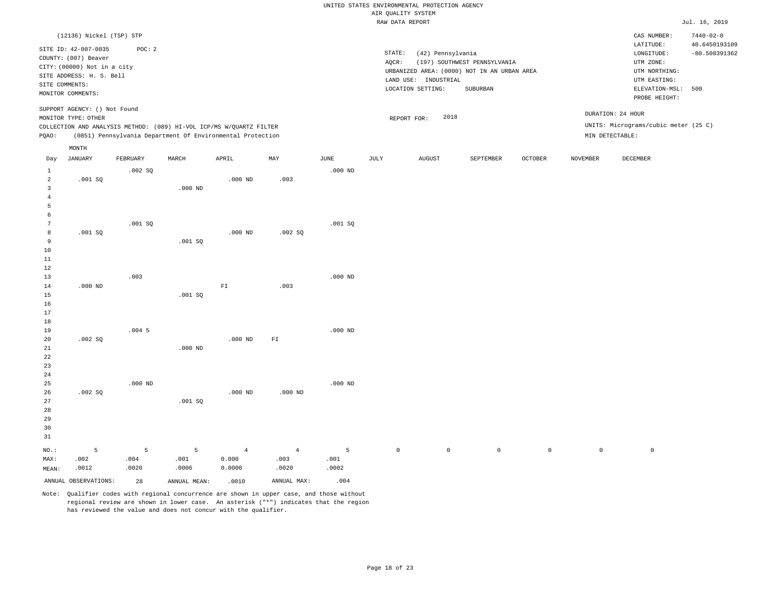|                                  |                                                                           |                    |                                                                                                                                   |                                   |                                 |                    |                     | UNITED STATES ENVIRONMENTAL PROTECTION AGENCY |                                                                                         |                |                 |                                                              |                                                     |
|----------------------------------|---------------------------------------------------------------------------|--------------------|-----------------------------------------------------------------------------------------------------------------------------------|-----------------------------------|---------------------------------|--------------------|---------------------|-----------------------------------------------|-----------------------------------------------------------------------------------------|----------------|-----------------|--------------------------------------------------------------|-----------------------------------------------------|
|                                  |                                                                           |                    |                                                                                                                                   |                                   |                                 |                    | AIR QUALITY SYSTEM  |                                               |                                                                                         |                |                 |                                                              |                                                     |
|                                  |                                                                           |                    |                                                                                                                                   |                                   |                                 |                    | RAW DATA REPORT     |                                               |                                                                                         |                |                 |                                                              | Jul. 16, 2019                                       |
|                                  | (12136) Nickel (TSP) STP<br>SITE ID: 42-007-0035<br>COUNTY: (007) Beaver  | POC: 2             |                                                                                                                                   |                                   |                                 |                    | STATE:              | (42) Pennsylvania                             |                                                                                         |                |                 | CAS NUMBER:<br>LATITUDE:<br>LONGITUDE:                       | $7440 - 02 - 0$<br>40.6450193109<br>$-80.508391362$ |
|                                  | CITY: (00000) Not in a city<br>SITE ADDRESS: H. S. Bell<br>SITE COMMENTS: |                    |                                                                                                                                   |                                   |                                 |                    | AOCR:               | LAND USE: INDUSTRIAL<br>LOCATION SETTING:     | (197) SOUTHWEST PENNSYLVANIA<br>URBANIZED AREA: (0000) NOT IN AN URBAN AREA<br>SUBURBAN |                |                 | UTM ZONE:<br>UTM NORTHING:<br>UTM EASTING:<br>ELEVATION-MSL: | 500                                                 |
|                                  | MONITOR COMMENTS:                                                         |                    |                                                                                                                                   |                                   |                                 |                    |                     |                                               |                                                                                         |                |                 | PROBE HEIGHT:                                                |                                                     |
|                                  | SUPPORT AGENCY: () Not Found<br>MONITOR TYPE: OTHER                       |                    |                                                                                                                                   |                                   |                                 |                    |                     | 2018<br>REPORT FOR:                           |                                                                                         |                |                 | DURATION: 24 HOUR                                            |                                                     |
| PQAO:                            |                                                                           |                    | COLLECTION AND ANALYSIS METHOD: (089) HI-VOL ICP/MS W/QUARTZ FILTER<br>(0851) Pennsylvania Department Of Environmental Protection |                                   |                                 |                    |                     |                                               |                                                                                         |                | MIN DETECTABLE: | UNITS: Micrograms/cubic meter (25 C)                         |                                                     |
| Day                              | MONTH<br><b>JANUARY</b>                                                   | FEBRUARY           | MARCH                                                                                                                             | APRIL                             | MAY                             | JUNE               | JULY                | <b>AUGUST</b>                                 | SEPTEMBER                                                                               | <b>OCTOBER</b> | <b>NOVEMBER</b> | DECEMBER                                                     |                                                     |
| $\mathbf{1}$<br>$\overline{a}$   | .001SQ                                                                    | .002 SQ            |                                                                                                                                   | $.000$ ND                         | .003                            | $.000$ ND          |                     |                                               |                                                                                         |                |                 |                                                              |                                                     |
| $\overline{3}$<br>$\overline{4}$ |                                                                           |                    | $.000$ ND                                                                                                                         |                                   |                                 |                    |                     |                                               |                                                                                         |                |                 |                                                              |                                                     |
| 5<br>$\epsilon$                  |                                                                           |                    |                                                                                                                                   |                                   |                                 |                    |                     |                                               |                                                                                         |                |                 |                                                              |                                                     |
| $7\phantom{.0}$<br>8<br>9        | .001SQ                                                                    | .001 SQ            |                                                                                                                                   | $.000$ ND                         | .002 SQ                         | $.001$ SO          |                     |                                               |                                                                                         |                |                 |                                                              |                                                     |
| $10$<br>11                       |                                                                           |                    | .001 SQ                                                                                                                           |                                   |                                 |                    |                     |                                               |                                                                                         |                |                 |                                                              |                                                     |
| 12<br>13                         |                                                                           | .003               |                                                                                                                                   |                                   |                                 | $.000$ ND          |                     |                                               |                                                                                         |                |                 |                                                              |                                                     |
| 14<br>15<br>16<br>17             | $.000$ ND                                                                 |                    | .001SQ                                                                                                                            | ${\rm F\,I}$                      | .003                            |                    |                     |                                               |                                                                                         |                |                 |                                                              |                                                     |
| 18<br>19                         |                                                                           | $.004$ 5           |                                                                                                                                   |                                   |                                 | $.000$ ND          |                     |                                               |                                                                                         |                |                 |                                                              |                                                     |
| 20<br>21<br>22<br>23             | .002 SQ                                                                   |                    | $.000$ ND                                                                                                                         | $.000$ ND                         | ${\tt F1}$                      |                    |                     |                                               |                                                                                         |                |                 |                                                              |                                                     |
| 24<br>25                         | .002 SQ                                                                   | $.000$ ND          |                                                                                                                                   | $.000$ ND                         | $.000$ ND                       | $.000$ ND          |                     |                                               |                                                                                         |                |                 |                                                              |                                                     |
| 26<br>27<br>28<br>29<br>30<br>31 |                                                                           |                    | .001 SQ                                                                                                                           |                                   |                                 |                    |                     |                                               |                                                                                         |                |                 |                                                              |                                                     |
| NO.:<br>MAX:<br>MEAN:            | 5<br>.002<br>.0012                                                        | 5<br>.004<br>.0020 | 5<br>.001<br>.0006                                                                                                                | $\overline{4}$<br>0.000<br>0.0000 | $\overline{4}$<br>.003<br>.0020 | 5<br>.001<br>.0002 | $\mathsf{O}\xspace$ | $\mathbb O$                                   | $\mathsf 0$                                                                             | $\mathsf{O}$   | $\mathbf 0$     | $\mathsf{O}$                                                 |                                                     |
|                                  | ANNUAL OBSERVATIONS:                                                      | 28                 | ANNUAL MEAN:                                                                                                                      | .0010                             | ANNUAL MAX:                     | .004               |                     |                                               |                                                                                         |                |                 |                                                              |                                                     |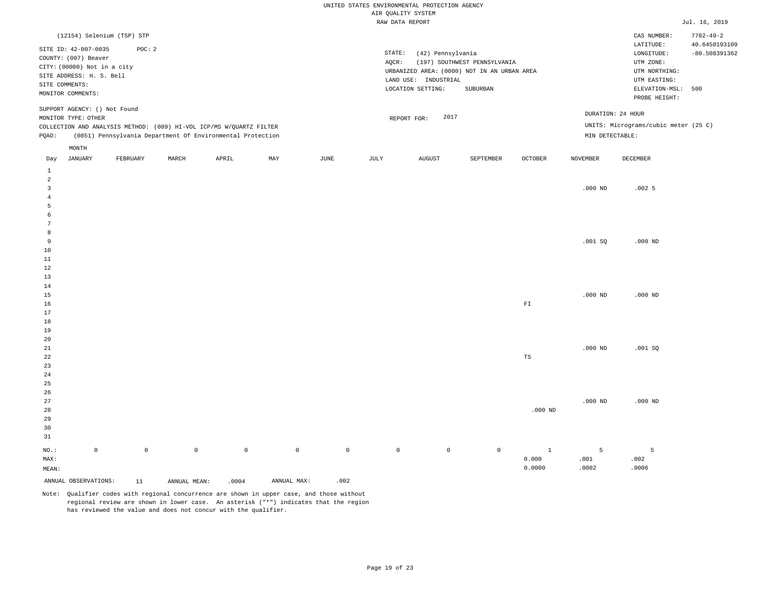|                   |                              |                            |              |                                                                     |             |                     | AIR QUALITY SYSTEM | UNITED STATES ENVIRONMENTAL PROTECTION AGENCY |                                             |                         |                 |                                      |                 |
|-------------------|------------------------------|----------------------------|--------------|---------------------------------------------------------------------|-------------|---------------------|--------------------|-----------------------------------------------|---------------------------------------------|-------------------------|-----------------|--------------------------------------|-----------------|
|                   |                              |                            |              |                                                                     |             |                     | RAW DATA REPORT    |                                               |                                             |                         |                 |                                      | Jul. 16, 2019   |
|                   |                              | (12154) Selenium (TSP) STP |              |                                                                     |             |                     |                    |                                               |                                             |                         |                 | CAS NUMBER:                          | $7782 - 49 - 2$ |
|                   | SITE ID: 42-007-0035         | POC: 2                     |              |                                                                     |             |                     |                    |                                               |                                             |                         |                 | LATITUDE:                            | 40.6450193109   |
|                   | COUNTY: (007) Beaver         |                            |              |                                                                     |             |                     | STATE:             | (42) Pennsylvania                             |                                             |                         |                 | LONGITUDE:                           | $-80.508391362$ |
|                   | CITY: (00000) Not in a city  |                            |              |                                                                     |             |                     | AQCR:              |                                               | (197) SOUTHWEST PENNSYLVANIA                |                         |                 | UTM ZONE:                            |                 |
|                   | SITE ADDRESS: H. S. Bell     |                            |              |                                                                     |             |                     |                    | LAND USE: INDUSTRIAL                          | URBANIZED AREA: (0000) NOT IN AN URBAN AREA |                         |                 | UTM NORTHING:<br>UTM EASTING:        |                 |
| SITE COMMENTS:    |                              |                            |              |                                                                     |             |                     |                    | LOCATION SETTING:                             | ${\tt SUBURBAN}$                            |                         |                 | ELEVATION-MSL: 500                   |                 |
| MONITOR COMMENTS: |                              |                            |              |                                                                     |             |                     |                    |                                               |                                             |                         |                 | PROBE HEIGHT:                        |                 |
|                   | SUPPORT AGENCY: () Not Found |                            |              |                                                                     |             |                     |                    |                                               |                                             |                         |                 | DURATION: 24 HOUR                    |                 |
|                   | MONITOR TYPE: OTHER          |                            |              |                                                                     |             |                     |                    | 2017<br>REPORT FOR:                           |                                             |                         |                 |                                      |                 |
|                   |                              |                            |              | COLLECTION AND ANALYSIS METHOD: (089) HI-VOL ICP/MS W/QUARTZ FILTER |             |                     |                    |                                               |                                             |                         |                 | UNITS: Micrograms/cubic meter (25 C) |                 |
| PQAO:             |                              |                            |              | (0851) Pennsylvania Department Of Environmental Protection          |             |                     |                    |                                               |                                             |                         | MIN DETECTABLE: |                                      |                 |
| Day               | MONTH<br>JANUARY             | FEBRUARY                   | MARCH        | APRIL                                                               | MAY         | JUNE                | JULY               | <b>AUGUST</b>                                 | SEPTEMBER                                   | <b>OCTOBER</b>          | <b>NOVEMBER</b> | DECEMBER                             |                 |
| $\mathbf{1}$      |                              |                            |              |                                                                     |             |                     |                    |                                               |                                             |                         |                 |                                      |                 |
| 2                 |                              |                            |              |                                                                     |             |                     |                    |                                               |                                             |                         |                 |                                      |                 |
| $\overline{3}$    |                              |                            |              |                                                                     |             |                     |                    |                                               |                                             |                         | $.000$ ND       | .0025                                |                 |
| $\overline{4}$    |                              |                            |              |                                                                     |             |                     |                    |                                               |                                             |                         |                 |                                      |                 |
| 5                 |                              |                            |              |                                                                     |             |                     |                    |                                               |                                             |                         |                 |                                      |                 |
| 6                 |                              |                            |              |                                                                     |             |                     |                    |                                               |                                             |                         |                 |                                      |                 |
| 7                 |                              |                            |              |                                                                     |             |                     |                    |                                               |                                             |                         |                 |                                      |                 |
| 8                 |                              |                            |              |                                                                     |             |                     |                    |                                               |                                             |                         |                 |                                      |                 |
| 9<br>10           |                              |                            |              |                                                                     |             |                     |                    |                                               |                                             |                         | .001SQ          | $.000$ ND                            |                 |
| 11                |                              |                            |              |                                                                     |             |                     |                    |                                               |                                             |                         |                 |                                      |                 |
| 12                |                              |                            |              |                                                                     |             |                     |                    |                                               |                                             |                         |                 |                                      |                 |
| 13                |                              |                            |              |                                                                     |             |                     |                    |                                               |                                             |                         |                 |                                      |                 |
| 14                |                              |                            |              |                                                                     |             |                     |                    |                                               |                                             |                         |                 |                                      |                 |
| 15                |                              |                            |              |                                                                     |             |                     |                    |                                               |                                             |                         | $.000$ ND       | $.000$ ND                            |                 |
| 16                |                              |                            |              |                                                                     |             |                     |                    |                                               |                                             | ${\rm F}\, {\mathbb I}$ |                 |                                      |                 |
| 17                |                              |                            |              |                                                                     |             |                     |                    |                                               |                                             |                         |                 |                                      |                 |
| 18<br>19          |                              |                            |              |                                                                     |             |                     |                    |                                               |                                             |                         |                 |                                      |                 |
| 20                |                              |                            |              |                                                                     |             |                     |                    |                                               |                                             |                         |                 |                                      |                 |
| 21                |                              |                            |              |                                                                     |             |                     |                    |                                               |                                             |                         | $.000$ ND       | .001SQ                               |                 |
| 22                |                              |                            |              |                                                                     |             |                     |                    |                                               |                                             | TS                      |                 |                                      |                 |
| 23                |                              |                            |              |                                                                     |             |                     |                    |                                               |                                             |                         |                 |                                      |                 |
| 24                |                              |                            |              |                                                                     |             |                     |                    |                                               |                                             |                         |                 |                                      |                 |
| 25                |                              |                            |              |                                                                     |             |                     |                    |                                               |                                             |                         |                 |                                      |                 |
| 26                |                              |                            |              |                                                                     |             |                     |                    |                                               |                                             |                         |                 |                                      |                 |
| 27                |                              |                            |              |                                                                     |             |                     |                    |                                               |                                             |                         | $.000$ ND       | $.000$ ND                            |                 |
| 28<br>29          |                              |                            |              |                                                                     |             |                     |                    |                                               |                                             | $.000$ ND               |                 |                                      |                 |
| 30                |                              |                            |              |                                                                     |             |                     |                    |                                               |                                             |                         |                 |                                      |                 |
| 31                |                              |                            |              |                                                                     |             |                     |                    |                                               |                                             |                         |                 |                                      |                 |
| NO.:              | $\mathbb O$                  | $\mathsf{O}\xspace$        | $\circ$      | $\mathbb O$                                                         | $\mathbb O$ | $\mathsf{O}\xspace$ | $\mathbb O$        | $\mathbb O$                                   | $\mathbb O$                                 | $\mathbf{1}$            | 5               | 5                                    |                 |
| MAX:              |                              |                            |              |                                                                     |             |                     |                    |                                               |                                             | 0.000                   | .001            | .002                                 |                 |
| MEAN:             |                              |                            |              |                                                                     |             |                     |                    |                                               |                                             | 0.0000                  | .0002           | .0006                                |                 |
|                   | ANNUAL OBSERVATIONS:         | 11                         | ANNUAL MEAN: | .0004                                                               | ANNUAL MAX: | .002                |                    |                                               |                                             |                         |                 |                                      |                 |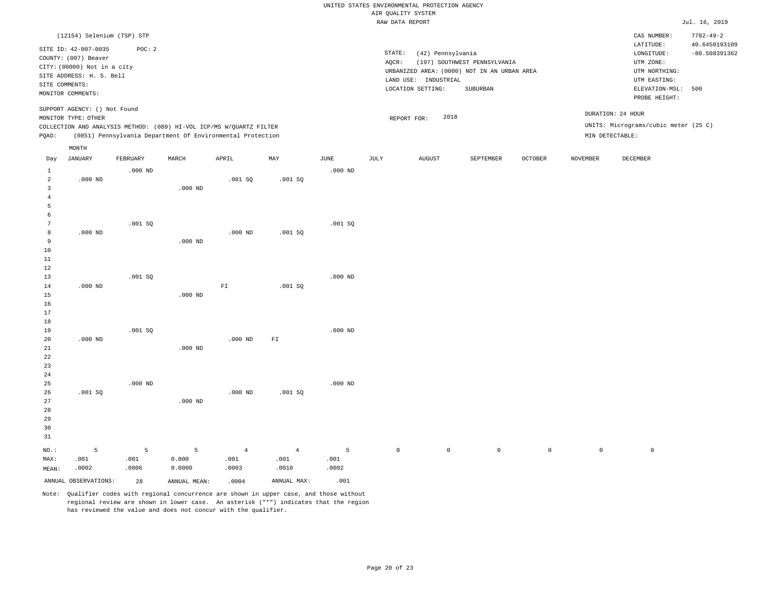|                                |                                                         |           |              |                                                                     |                          |           |                     | UNITED STATES ENVIRONMENTAL PROTECTION AGENCY |                                             |                     |                 |                                      |                                  |
|--------------------------------|---------------------------------------------------------|-----------|--------------|---------------------------------------------------------------------|--------------------------|-----------|---------------------|-----------------------------------------------|---------------------------------------------|---------------------|-----------------|--------------------------------------|----------------------------------|
|                                |                                                         |           |              |                                                                     |                          |           | AIR QUALITY SYSTEM  |                                               |                                             |                     |                 |                                      |                                  |
|                                |                                                         |           |              |                                                                     |                          |           | RAW DATA REPORT     |                                               |                                             |                     |                 |                                      | Jul. 16, 2019                    |
|                                | (12154) Selenium (TSP) STP                              |           |              |                                                                     |                          |           |                     |                                               |                                             |                     |                 | CAS NUMBER:<br>LATITUDE:             | $7782 - 49 - 2$<br>40.6450193109 |
|                                | SITE ID: 42-007-0035                                    | POC: 2    |              |                                                                     |                          |           | STATE:              | (42) Pennsylvania                             |                                             |                     |                 | LONGITUDE:                           | $-80.508391362$                  |
|                                | COUNTY: (007) Beaver                                    |           |              |                                                                     |                          |           | AOCR:               |                                               | (197) SOUTHWEST PENNSYLVANIA                |                     |                 | UTM ZONE:                            |                                  |
|                                | CITY: (00000) Not in a city<br>SITE ADDRESS: H. S. Bell |           |              |                                                                     |                          |           |                     |                                               | URBANIZED AREA: (0000) NOT IN AN URBAN AREA |                     |                 | UTM NORTHING:                        |                                  |
|                                | SITE COMMENTS:                                          |           |              |                                                                     |                          |           |                     | LAND USE: INDUSTRIAL                          |                                             |                     |                 | UTM EASTING:                         |                                  |
|                                | MONITOR COMMENTS:                                       |           |              |                                                                     |                          |           |                     | LOCATION SETTING:                             | SUBURBAN                                    |                     |                 | ELEVATION-MSL: 500<br>PROBE HEIGHT:  |                                  |
|                                | SUPPORT AGENCY: () Not Found<br>MONITOR TYPE: OTHER     |           |              |                                                                     |                          |           |                     | 2018<br>REPORT FOR:                           |                                             |                     |                 | DURATION: 24 HOUR                    |                                  |
|                                |                                                         |           |              | COLLECTION AND ANALYSIS METHOD: (089) HI-VOL ICP/MS W/QUARTZ FILTER |                          |           |                     |                                               |                                             |                     |                 | UNITS: Micrograms/cubic meter (25 C) |                                  |
| PQAO:                          |                                                         |           |              | (0851) Pennsylvania Department Of Environmental Protection          |                          |           |                     |                                               |                                             |                     |                 | MIN DETECTABLE:                      |                                  |
|                                | MONTH                                                   |           |              |                                                                     |                          |           |                     |                                               |                                             |                     |                 |                                      |                                  |
| Day                            | <b>JANUARY</b>                                          | FEBRUARY  | MARCH        | APRIL                                                               | MAY                      | JUNE      | JULY                | AUGUST                                        | SEPTEMBER                                   | OCTOBER             | <b>NOVEMBER</b> | DECEMBER                             |                                  |
| $\mathbf{1}$<br>$\overline{2}$ | $.000$ ND                                               | $.000$ ND |              | .001SQ                                                              | $.001$ SO                | $.000$ ND |                     |                                               |                                             |                     |                 |                                      |                                  |
| $\overline{3}$                 |                                                         |           | $.000$ ND    |                                                                     |                          |           |                     |                                               |                                             |                     |                 |                                      |                                  |
| $\overline{4}$                 |                                                         |           |              |                                                                     |                          |           |                     |                                               |                                             |                     |                 |                                      |                                  |
| 5                              |                                                         |           |              |                                                                     |                          |           |                     |                                               |                                             |                     |                 |                                      |                                  |
| $\epsilon$                     |                                                         |           |              |                                                                     |                          |           |                     |                                               |                                             |                     |                 |                                      |                                  |
| $7\phantom{.0}$                |                                                         | .001 SQ   |              |                                                                     |                          | .001SQ    |                     |                                               |                                             |                     |                 |                                      |                                  |
| 8<br>9                         | $.000$ ND                                               |           | $.000$ ND    | $.000$ ND                                                           | $.001$ SO                |           |                     |                                               |                                             |                     |                 |                                      |                                  |
| $10$                           |                                                         |           |              |                                                                     |                          |           |                     |                                               |                                             |                     |                 |                                      |                                  |
| $11\,$                         |                                                         |           |              |                                                                     |                          |           |                     |                                               |                                             |                     |                 |                                      |                                  |
| 12                             |                                                         |           |              |                                                                     |                          |           |                     |                                               |                                             |                     |                 |                                      |                                  |
| 13                             |                                                         | .001SQ    |              |                                                                     |                          | $.000$ ND |                     |                                               |                                             |                     |                 |                                      |                                  |
| 14                             | $.000$ ND                                               |           |              | ${\rm F\,I}$                                                        | .001 SQ                  |           |                     |                                               |                                             |                     |                 |                                      |                                  |
| 15                             |                                                         |           | $.000$ ND    |                                                                     |                          |           |                     |                                               |                                             |                     |                 |                                      |                                  |
| 16<br>17                       |                                                         |           |              |                                                                     |                          |           |                     |                                               |                                             |                     |                 |                                      |                                  |
| 18                             |                                                         |           |              |                                                                     |                          |           |                     |                                               |                                             |                     |                 |                                      |                                  |
| 19                             |                                                         | $.001$ SO |              |                                                                     |                          | $.000$ ND |                     |                                               |                                             |                     |                 |                                      |                                  |
| $20$                           | $.000$ ND                                               |           |              | $.000$ ND                                                           | $\mathbb{F} \mathbbm{I}$ |           |                     |                                               |                                             |                     |                 |                                      |                                  |
| 21                             |                                                         |           | $.000$ ND    |                                                                     |                          |           |                     |                                               |                                             |                     |                 |                                      |                                  |
| 22                             |                                                         |           |              |                                                                     |                          |           |                     |                                               |                                             |                     |                 |                                      |                                  |
| 23<br>24                       |                                                         |           |              |                                                                     |                          |           |                     |                                               |                                             |                     |                 |                                      |                                  |
| 25                             |                                                         | $.000$ ND |              |                                                                     |                          | $.000$ ND |                     |                                               |                                             |                     |                 |                                      |                                  |
| 26                             | $.001$ SO                                               |           |              | $.000$ ND                                                           | $.001$ SO                |           |                     |                                               |                                             |                     |                 |                                      |                                  |
| $2\,7$                         |                                                         |           | $.000$ ND    |                                                                     |                          |           |                     |                                               |                                             |                     |                 |                                      |                                  |
| 28                             |                                                         |           |              |                                                                     |                          |           |                     |                                               |                                             |                     |                 |                                      |                                  |
| 29                             |                                                         |           |              |                                                                     |                          |           |                     |                                               |                                             |                     |                 |                                      |                                  |
| 30                             |                                                         |           |              |                                                                     |                          |           |                     |                                               |                                             |                     |                 |                                      |                                  |
| 31                             |                                                         |           |              |                                                                     |                          |           |                     |                                               |                                             |                     |                 |                                      |                                  |
| NO.:                           | 5                                                       | 5         | 5            | $\overline{4}$                                                      | $\overline{4}$           | 5         | $\mathsf{O}\xspace$ | $\mathbb O$                                   | $\mathsf 0$                                 | $\mathsf{O}\xspace$ | $\mathbf 0$     | $\mathsf 0$                          |                                  |
| MAX:                           | .001                                                    | .001      | 0.000        | .001                                                                | .001                     | .001      |                     |                                               |                                             |                     |                 |                                      |                                  |
| MEAN:                          | .0002                                                   | .0006     | 0.0000       | .0003                                                               | .0010                    | .0002     |                     |                                               |                                             |                     |                 |                                      |                                  |
|                                | ANNUAL OBSERVATIONS:                                    | 28        | ANNUAL MEAN: | .0004                                                               | ANNUAL MAX:              | .001      |                     |                                               |                                             |                     |                 |                                      |                                  |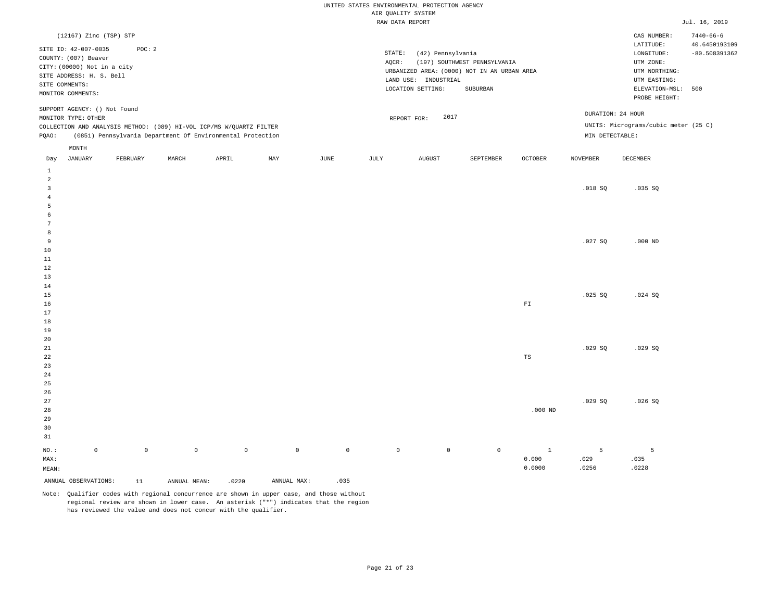|                                  |                                                                                                                              |                     |              |                                                                     |             |                     | UNITED STATES ENVIRONMENTAL PROTECTION AGENCY<br>AIR QUALITY SYSTEM |                                                                |                                                                                         |                |                   |                                                                                |                                  |
|----------------------------------|------------------------------------------------------------------------------------------------------------------------------|---------------------|--------------|---------------------------------------------------------------------|-------------|---------------------|---------------------------------------------------------------------|----------------------------------------------------------------|-----------------------------------------------------------------------------------------|----------------|-------------------|--------------------------------------------------------------------------------|----------------------------------|
|                                  |                                                                                                                              |                     |              |                                                                     |             |                     | RAW DATA REPORT                                                     |                                                                |                                                                                         |                |                   |                                                                                | Jul. 16, 2019                    |
|                                  | (12167) Zinc (TSP) STP                                                                                                       |                     |              |                                                                     |             |                     |                                                                     |                                                                |                                                                                         |                |                   | CAS NUMBER:<br>$\mathtt{LATITUDE}$                                             | $7440 - 66 - 6$<br>40.6450193109 |
| SITE COMMENTS:                   | SITE ID: 42-007-0035<br>COUNTY: (007) Beaver<br>CITY: (00000) Not in a city<br>SITE ADDRESS: H. S. Bell<br>MONITOR COMMENTS: | POC: 2              |              |                                                                     |             |                     | STATE:<br>AQCR:                                                     | (42) Pennsylvania<br>LAND USE: INDUSTRIAL<br>LOCATION SETTING: | (197) SOUTHWEST PENNSYLVANIA<br>URBANIZED AREA: (0000) NOT IN AN URBAN AREA<br>SUBURBAN |                |                   | LONGITUDE:<br>UTM ZONE:<br>UTM NORTHING:<br>UTM EASTING:<br>ELEVATION-MSL: 500 | $-80.508391362$                  |
|                                  | SUPPORT AGENCY: () Not Found                                                                                                 |                     |              |                                                                     |             |                     |                                                                     |                                                                |                                                                                         |                | DURATION: 24 HOUR | PROBE HEIGHT:                                                                  |                                  |
|                                  | MONITOR TYPE: OTHER                                                                                                          |                     |              | COLLECTION AND ANALYSIS METHOD: (089) HI-VOL ICP/MS W/QUARTZ FILTER |             |                     |                                                                     | 2017<br>REPORT FOR:                                            |                                                                                         |                |                   | UNITS: Micrograms/cubic meter (25 C)                                           |                                  |
| PQAO:                            |                                                                                                                              |                     |              | (0851) Pennsylvania Department Of Environmental Protection          |             |                     |                                                                     |                                                                |                                                                                         |                | MIN DETECTABLE:   |                                                                                |                                  |
|                                  | MONTH                                                                                                                        |                     |              |                                                                     |             |                     |                                                                     |                                                                |                                                                                         |                |                   |                                                                                |                                  |
| Day                              | JANUARY                                                                                                                      | FEBRUARY            | MARCH        | APRIL                                                               | MAY         | JUNE                | JULY                                                                | <b>AUGUST</b>                                                  | SEPTEMBER                                                                               | <b>OCTOBER</b> | <b>NOVEMBER</b>   | DECEMBER                                                                       |                                  |
| $\mathbf{1}$<br>2                |                                                                                                                              |                     |              |                                                                     |             |                     |                                                                     |                                                                |                                                                                         |                |                   |                                                                                |                                  |
| $\overline{3}$<br>$\overline{4}$ |                                                                                                                              |                     |              |                                                                     |             |                     |                                                                     |                                                                |                                                                                         |                | .018SQ            | .035 SQ                                                                        |                                  |
| 5                                |                                                                                                                              |                     |              |                                                                     |             |                     |                                                                     |                                                                |                                                                                         |                |                   |                                                                                |                                  |
| 6                                |                                                                                                                              |                     |              |                                                                     |             |                     |                                                                     |                                                                |                                                                                         |                |                   |                                                                                |                                  |
| $7\phantom{.0}$<br>8             |                                                                                                                              |                     |              |                                                                     |             |                     |                                                                     |                                                                |                                                                                         |                |                   |                                                                                |                                  |
| $\overline{9}$                   |                                                                                                                              |                     |              |                                                                     |             |                     |                                                                     |                                                                |                                                                                         |                | .027SQ            | $.000$ ND                                                                      |                                  |
| 10                               |                                                                                                                              |                     |              |                                                                     |             |                     |                                                                     |                                                                |                                                                                         |                |                   |                                                                                |                                  |
| $11\,$                           |                                                                                                                              |                     |              |                                                                     |             |                     |                                                                     |                                                                |                                                                                         |                |                   |                                                                                |                                  |
| 12                               |                                                                                                                              |                     |              |                                                                     |             |                     |                                                                     |                                                                |                                                                                         |                |                   |                                                                                |                                  |
| 13<br>14                         |                                                                                                                              |                     |              |                                                                     |             |                     |                                                                     |                                                                |                                                                                         |                |                   |                                                                                |                                  |
| 15                               |                                                                                                                              |                     |              |                                                                     |             |                     |                                                                     |                                                                |                                                                                         |                | .025 SQ           | .024 SQ                                                                        |                                  |
| 16                               |                                                                                                                              |                     |              |                                                                     |             |                     |                                                                     |                                                                |                                                                                         | ${\rm F\,I}$   |                   |                                                                                |                                  |
| 17                               |                                                                                                                              |                     |              |                                                                     |             |                     |                                                                     |                                                                |                                                                                         |                |                   |                                                                                |                                  |
| 18                               |                                                                                                                              |                     |              |                                                                     |             |                     |                                                                     |                                                                |                                                                                         |                |                   |                                                                                |                                  |
| 19<br>20                         |                                                                                                                              |                     |              |                                                                     |             |                     |                                                                     |                                                                |                                                                                         |                |                   |                                                                                |                                  |
| 21                               |                                                                                                                              |                     |              |                                                                     |             |                     |                                                                     |                                                                |                                                                                         |                | .029SQ            | .029SQ                                                                         |                                  |
| 22                               |                                                                                                                              |                     |              |                                                                     |             |                     |                                                                     |                                                                |                                                                                         | TS             |                   |                                                                                |                                  |
| 23                               |                                                                                                                              |                     |              |                                                                     |             |                     |                                                                     |                                                                |                                                                                         |                |                   |                                                                                |                                  |
| 24<br>25                         |                                                                                                                              |                     |              |                                                                     |             |                     |                                                                     |                                                                |                                                                                         |                |                   |                                                                                |                                  |
| 26                               |                                                                                                                              |                     |              |                                                                     |             |                     |                                                                     |                                                                |                                                                                         |                |                   |                                                                                |                                  |
| 27                               |                                                                                                                              |                     |              |                                                                     |             |                     |                                                                     |                                                                |                                                                                         |                | .029SQ            | .026S                                                                          |                                  |
| 28                               |                                                                                                                              |                     |              |                                                                     |             |                     |                                                                     |                                                                |                                                                                         | $.000$ ND      |                   |                                                                                |                                  |
| 29                               |                                                                                                                              |                     |              |                                                                     |             |                     |                                                                     |                                                                |                                                                                         |                |                   |                                                                                |                                  |
| 30                               |                                                                                                                              |                     |              |                                                                     |             |                     |                                                                     |                                                                |                                                                                         |                |                   |                                                                                |                                  |
| 31                               |                                                                                                                              |                     |              |                                                                     |             |                     |                                                                     |                                                                |                                                                                         |                |                   |                                                                                |                                  |
| NO.:                             | $\mathbb O$                                                                                                                  | $\mathsf{O}\xspace$ | $\circ$      | $\mathbb O$                                                         | $\mathbb O$ | $\mathsf{O}\xspace$ | $\mathbb O$                                                         | $\mathbb O$                                                    | $\mathbb O$                                                                             | $\mathbf{1}$   | 5                 | 5                                                                              |                                  |
| MAX:                             |                                                                                                                              |                     |              |                                                                     |             |                     |                                                                     |                                                                |                                                                                         | 0.000          | .029              | .035                                                                           |                                  |
| MEAN:                            |                                                                                                                              |                     |              |                                                                     |             |                     |                                                                     |                                                                |                                                                                         | 0.0000         | .0256             | .0228                                                                          |                                  |
|                                  | ANNUAL OBSERVATIONS:                                                                                                         | 11                  | ANNUAL MEAN: | .0220                                                               | ANNUAL MAX: | .035                |                                                                     |                                                                |                                                                                         |                |                   |                                                                                |                                  |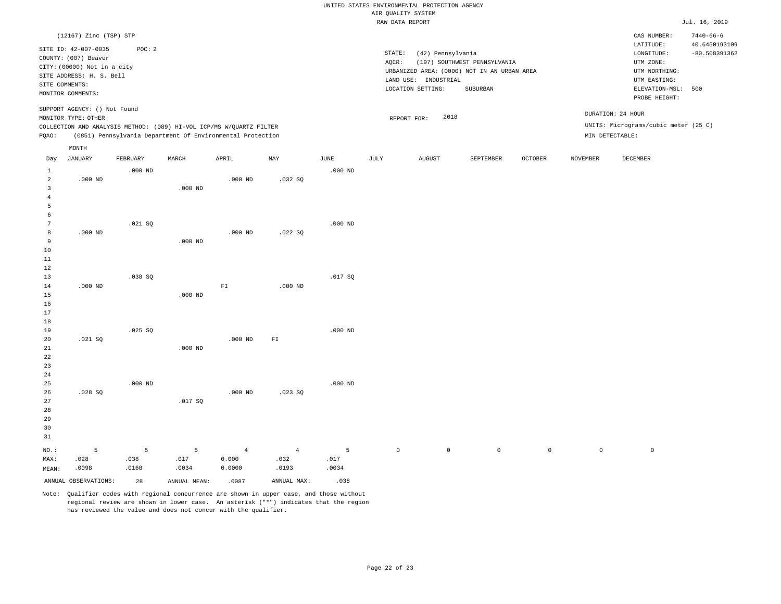|                                            |                                                                              |                    |                                                                                                                                   |                                   |                                 |                    |                     | UNITED STATES ENVIRONMENTAL PROTECTION AGENCY |                                                                                         |             |                 |                                                                                   |                                                     |
|--------------------------------------------|------------------------------------------------------------------------------|--------------------|-----------------------------------------------------------------------------------------------------------------------------------|-----------------------------------|---------------------------------|--------------------|---------------------|-----------------------------------------------|-----------------------------------------------------------------------------------------|-------------|-----------------|-----------------------------------------------------------------------------------|-----------------------------------------------------|
|                                            |                                                                              |                    |                                                                                                                                   |                                   |                                 |                    | AIR QUALITY SYSTEM  |                                               |                                                                                         |             |                 |                                                                                   |                                                     |
|                                            |                                                                              |                    |                                                                                                                                   |                                   |                                 |                    | RAW DATA REPORT     |                                               |                                                                                         |             |                 |                                                                                   | Jul. 16, 2019                                       |
|                                            | (12167) Zinc (TSP) STP<br>SITE ID: 42-007-0035<br>COUNTY: (007) Beaver       | POC: 2             |                                                                                                                                   |                                   |                                 |                    | STATE:              | (42) Pennsylvania                             |                                                                                         |             |                 | CAS NUMBER:<br>LATITUDE:<br>LONGITUDE:                                            | $7440 - 66 - 6$<br>40.6450193109<br>$-80.508391362$ |
| SITE COMMENTS:                             | CITY: (00000) Not in a city<br>SITE ADDRESS: H. S. Bell<br>MONITOR COMMENTS: |                    |                                                                                                                                   |                                   |                                 |                    | $AQCR$ :            | LAND USE: INDUSTRIAL<br>LOCATION SETTING:     | (197) SOUTHWEST PENNSYLVANIA<br>URBANIZED AREA: (0000) NOT IN AN URBAN AREA<br>SUBURBAN |             |                 | UTM ZONE:<br>UTM NORTHING:<br>UTM EASTING:<br>ELEVATION-MSL: 500<br>PROBE HEIGHT: |                                                     |
|                                            | SUPPORT AGENCY: () Not Found<br>MONITOR TYPE: OTHER                          |                    |                                                                                                                                   |                                   |                                 |                    |                     | 2018<br>REPORT FOR:                           |                                                                                         |             |                 | DURATION: 24 HOUR                                                                 |                                                     |
| PQAO:                                      |                                                                              |                    | COLLECTION AND ANALYSIS METHOD: (089) HI-VOL ICP/MS W/QUARTZ FILTER<br>(0851) Pennsylvania Department Of Environmental Protection |                                   |                                 |                    |                     |                                               |                                                                                         |             |                 | UNITS: Micrograms/cubic meter (25 C)<br>MIN DETECTABLE:                           |                                                     |
| Day                                        | MONTH<br>JANUARY                                                             | FEBRUARY           | MARCH                                                                                                                             | APRIL                             | MAX                             | $_{\rm JUNE}$      | JULY                | ${\tt AUGUST}$                                | SEPTEMBER                                                                               | OCTOBER     | <b>NOVEMBER</b> | DECEMBER                                                                          |                                                     |
| <sup>1</sup><br>$\overline{a}$             | $.000$ ND                                                                    | $.000$ ND          |                                                                                                                                   | $.000$ ND                         | .032S                           | $.000$ ND          |                     |                                               |                                                                                         |             |                 |                                                                                   |                                                     |
| $\overline{3}$<br>$\sqrt{4}$<br>5<br>6     |                                                                              |                    | $.000$ ND                                                                                                                         |                                   |                                 |                    |                     |                                               |                                                                                         |             |                 |                                                                                   |                                                     |
| $7\phantom{.0}$<br>8<br>9<br>10<br>$11\,$  | $.000$ ND                                                                    | .021SQ             | $.000$ ND                                                                                                                         | $.000$ ND                         | .022SQ                          | $.000$ ND          |                     |                                               |                                                                                         |             |                 |                                                                                   |                                                     |
| 12<br>13<br>14<br>15                       | $.000$ ND                                                                    | .038SQ             | $.000$ ND                                                                                                                         | $\mathbb{F} \mathbbm{I}$          | $.000$ ND                       | .017 SQ            |                     |                                               |                                                                                         |             |                 |                                                                                   |                                                     |
| 16<br>17<br>18<br>19                       |                                                                              | .025 SQ            |                                                                                                                                   |                                   |                                 | $.000$ ND          |                     |                                               |                                                                                         |             |                 |                                                                                   |                                                     |
| 20<br>21<br>22<br>23                       | .021 SQ                                                                      |                    | $.000$ ND                                                                                                                         | $.000$ ND                         | $\mathbb{F} \, \mathbb{I}$      |                    |                     |                                               |                                                                                         |             |                 |                                                                                   |                                                     |
| 24<br>25<br>26<br>$2\,7$<br>28<br>29<br>30 | .028S                                                                        | $.000$ ND          | .017 SQ                                                                                                                           | $.000$ ND                         | .023S                           | $.000$ ND          |                     |                                               |                                                                                         |             |                 |                                                                                   |                                                     |
| 31<br>NO.:<br>MAX:<br>MEAN:                | 5<br>.028<br>.0098                                                           | 5<br>.038<br>.0168 | 5<br>.017<br>.0034                                                                                                                | $\overline{4}$<br>0.000<br>0.0000 | $\overline{4}$<br>.032<br>.0193 | 5<br>.017<br>.0034 | $\mathsf{O}\xspace$ | $\mathbb O$                                   | $\mathbb O$                                                                             | $\mathbb O$ | $\mathbb O$     | $\mathbb O$                                                                       |                                                     |
|                                            | ANNUAL OBSERVATIONS:                                                         | 28                 | ANNUAL MEAN:                                                                                                                      | .0087                             | ANNUAL MAX:                     | .038               |                     |                                               |                                                                                         |             |                 |                                                                                   |                                                     |